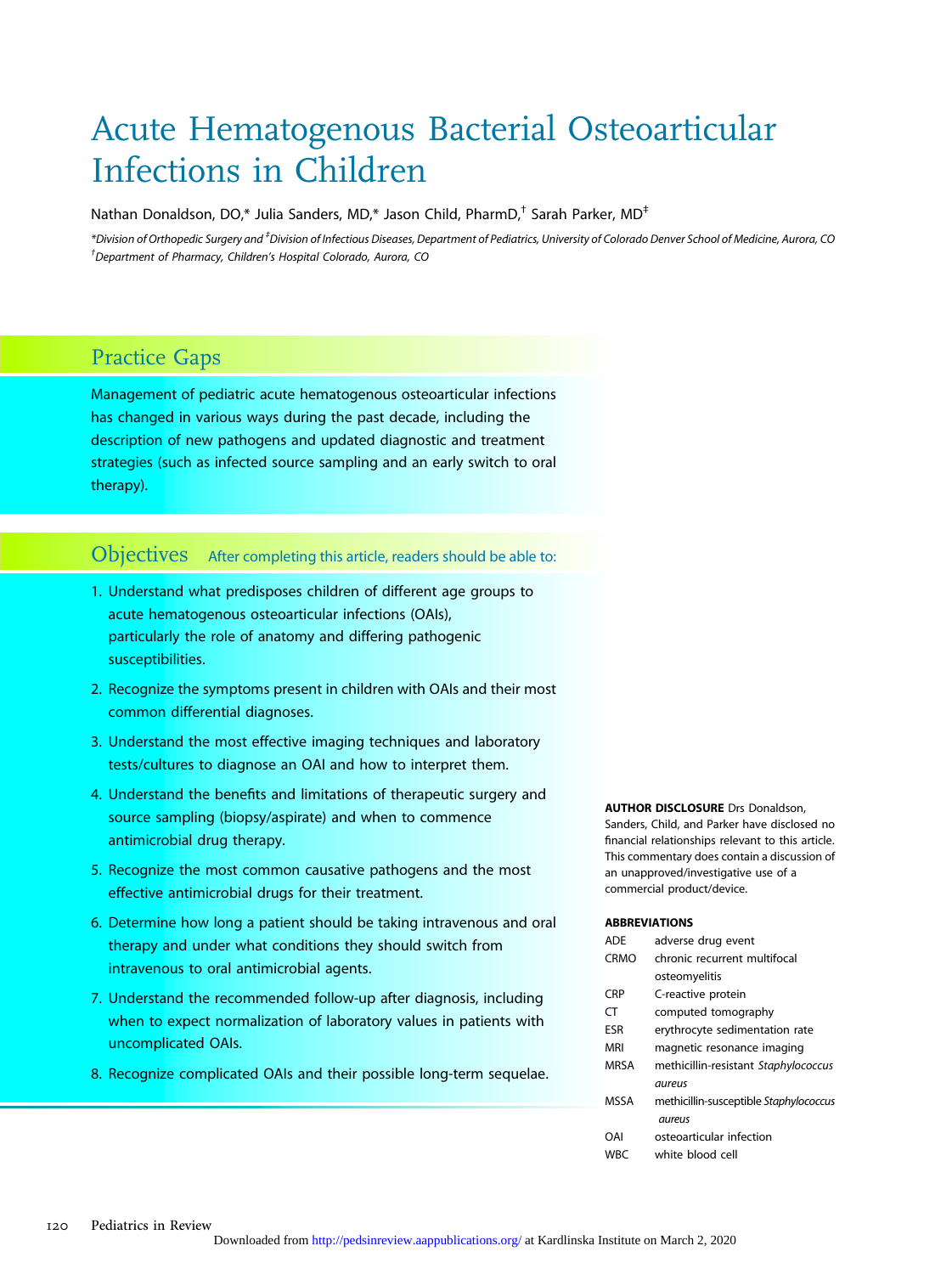# Acute Hematogenous Bacterial Osteoarticular Infections in Children

Nathan Donaldson, DO,\* Julia Sanders, MD,\* Jason Child, PharmD,† Sarah Parker, MD‡

\*Division of Orthopedic Surgery and ‡ Division of Infectious Diseases, Department of Pediatrics, University of Colorado Denver School of Medicine, Aurora, CO † Department of Pharmacy, Children's Hospital Colorado, Aurora, CO

# Practice Gaps

Management of pediatric acute hematogenous osteoarticular infections has changed in various ways during the past decade, including the description of new pathogens and updated diagnostic and treatment strategies (such as infected source sampling and an early switch to oral therapy).

# Objectives After completing this article, readers should be able to:

- 1. Understand what predisposes children of different age groups to acute hematogenous osteoarticular infections (OAIs), particularly the role of anatomy and differing pathogenic susceptibilities.
- 2. Recognize the symptoms present in children with OAIs and their most common differential diagnoses.
- 3. Understand the most effective imaging techniques and laboratory tests/cultures to diagnose an OAI and how to interpret them.
- 4. Understand the benefits and limitations of therapeutic surgery and source sampling (biopsy/aspirate) and when to commence antimicrobial drug therapy.
- 5. Recognize the most common causative pathogens and the most effective antimicrobial drugs for their treatment.
- 6. Determine how long a patient should be taking intravenous and oral therapy and under what conditions they should switch from intravenous to oral antimicrobial agents.
- 7. Understand the recommended follow-up after diagnosis, including when to expect normalization of laboratory values in patients with uncomplicated OAIs.
- 8. Recognize complicated OAIs and their possible long-term sequelae.

#### **AUTHOR DISCLOSURE Drs Donaldson,**

Sanders, Child, and Parker have disclosed no financial relationships relevant to this article. This commentary does contain a discussion of an unapproved/investigative use of a commercial product/device.

#### ABBREVIATIONS

| <b>ADE</b>  | adverse drug event                     |
|-------------|----------------------------------------|
| <b>CRMO</b> | chronic recurrent multifocal           |
|             | osteomyelitis                          |
| <b>CRP</b>  | C-reactive protein                     |
| CT          | computed tomography                    |
| ESR         | erythrocyte sedimentation rate         |
| <b>MRI</b>  | magnetic resonance imaging             |
| <b>MRSA</b> | methicillin-resistant Staphylococcus   |
|             | aureus                                 |
| <b>MSSA</b> | methicillin-susceptible Staphylococcus |
|             | aureus                                 |
| OAI         | osteoarticular infection               |
| <b>WBC</b>  | white blood cell                       |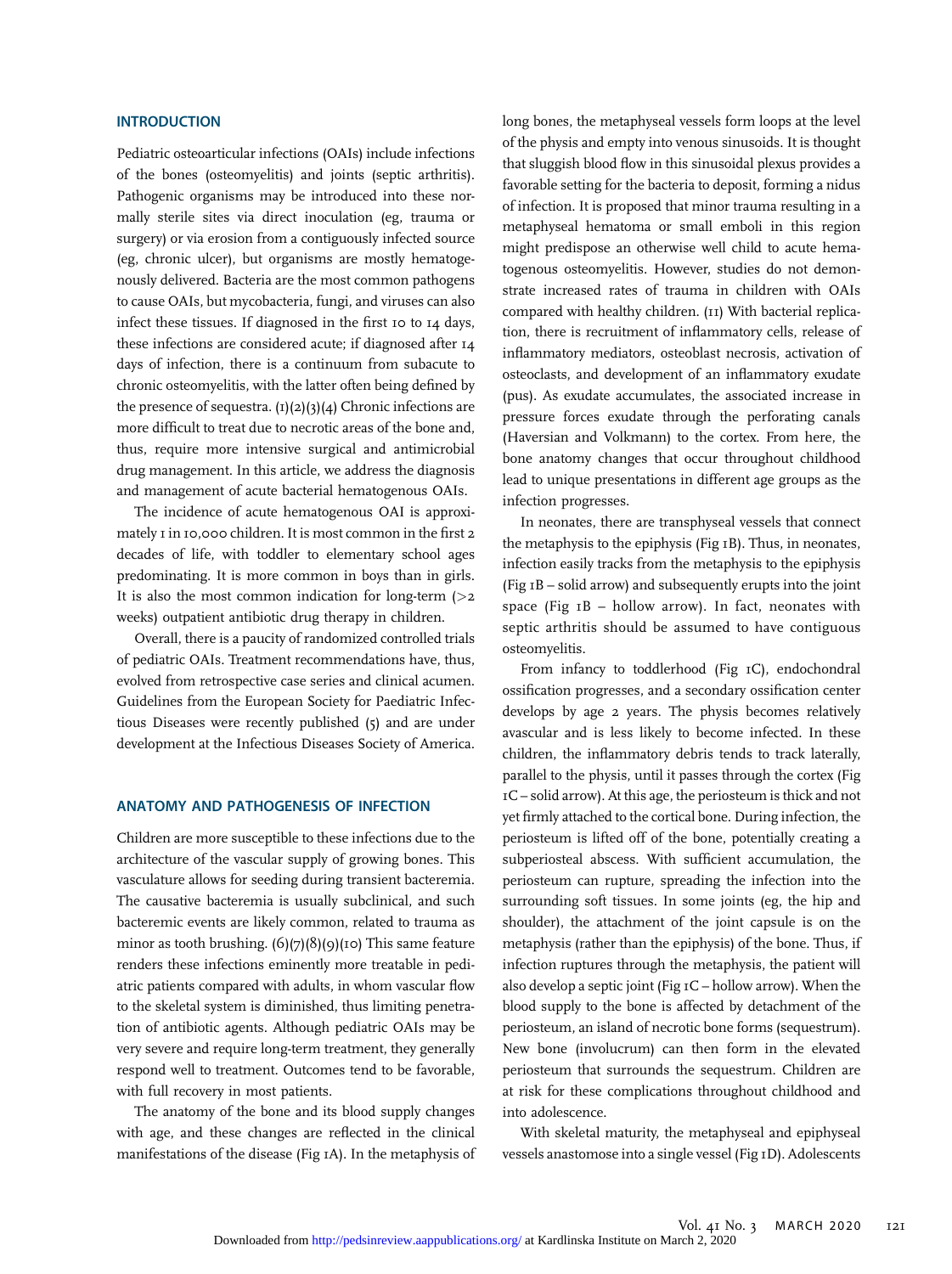## **INTRODUCTION**

Pediatric osteoarticular infections (OAIs) include infections of the bones (osteomyelitis) and joints (septic arthritis). Pathogenic organisms may be introduced into these normally sterile sites via direct inoculation (eg, trauma or surgery) or via erosion from a contiguously infected source (eg, chronic ulcer), but organisms are mostly hematogenously delivered. Bacteria are the most common pathogens to cause OAIs, but mycobacteria, fungi, and viruses can also infect these tissues. If diagnosed in the first 10 to 14 days, these infections are considered acute; if diagnosed after 14 days of infection, there is a continuum from subacute to chronic osteomyelitis, with the latter often being defined by the presence of sequestra.  $(1)(2)(3)(4)$  Chronic infections are more difficult to treat due to necrotic areas of the bone and, thus, require more intensive surgical and antimicrobial drug management. In this article, we address the diagnosis and management of acute bacterial hematogenous OAIs.

The incidence of acute hematogenous OAI is approximately 1 in 10,000 children. It is most common in the first 2 decades of life, with toddler to elementary school ages predominating. It is more common in boys than in girls. It is also the most common indication for long-term  $(>2)$ weeks) outpatient antibiotic drug therapy in children.

Overall, there is a paucity of randomized controlled trials of pediatric OAIs. Treatment recommendations have, thus, evolved from retrospective case series and clinical acumen. Guidelines from the European Society for Paediatric Infectious Diseases were recently published (5) and are under development at the Infectious Diseases Society of America.

#### ANATOMY AND PATHOGENESIS OF INFECTION

Children are more susceptible to these infections due to the architecture of the vascular supply of growing bones. This vasculature allows for seeding during transient bacteremia. The causative bacteremia is usually subclinical, and such bacteremic events are likely common, related to trauma as minor as tooth brushing.  $(6)(7)(8)(9)(10)$  This same feature renders these infections eminently more treatable in pediatric patients compared with adults, in whom vascular flow to the skeletal system is diminished, thus limiting penetration of antibiotic agents. Although pediatric OAIs may be very severe and require long-term treatment, they generally respond well to treatment. Outcomes tend to be favorable, with full recovery in most patients.

The anatomy of the bone and its blood supply changes with age, and these changes are reflected in the clinical manifestations of the disease (Fig 1A). In the metaphysis of long bones, the metaphyseal vessels form loops at the level of the physis and empty into venous sinusoids. It is thought that sluggish blood flow in this sinusoidal plexus provides a favorable setting for the bacteria to deposit, forming a nidus of infection. It is proposed that minor trauma resulting in a metaphyseal hematoma or small emboli in this region might predispose an otherwise well child to acute hematogenous osteomyelitis. However, studies do not demonstrate increased rates of trauma in children with OAIs compared with healthy children. (11) With bacterial replication, there is recruitment of inflammatory cells, release of inflammatory mediators, osteoblast necrosis, activation of osteoclasts, and development of an inflammatory exudate (pus). As exudate accumulates, the associated increase in pressure forces exudate through the perforating canals (Haversian and Volkmann) to the cortex. From here, the bone anatomy changes that occur throughout childhood lead to unique presentations in different age groups as the infection progresses.

In neonates, there are transphyseal vessels that connect the metaphysis to the epiphysis (Fig 1B). Thus, in neonates, infection easily tracks from the metaphysis to the epiphysis (Fig 1B – solid arrow) and subsequently erupts into the joint space (Fig  $I$ B – hollow arrow). In fact, neonates with septic arthritis should be assumed to have contiguous osteomyelitis.

From infancy to toddlerhood (Fig 1C), endochondral ossification progresses, and a secondary ossification center develops by age 2 years. The physis becomes relatively avascular and is less likely to become infected. In these children, the inflammatory debris tends to track laterally, parallel to the physis, until it passes through the cortex (Fig 1C – solid arrow). At this age, the periosteum is thick and not yet firmly attached to the cortical bone. During infection, the periosteum is lifted off of the bone, potentially creating a subperiosteal abscess. With sufficient accumulation, the periosteum can rupture, spreading the infection into the surrounding soft tissues. In some joints (eg, the hip and shoulder), the attachment of the joint capsule is on the metaphysis (rather than the epiphysis) of the bone. Thus, if infection ruptures through the metaphysis, the patient will also develop a septic joint (Fig 1C – hollow arrow). When the blood supply to the bone is affected by detachment of the periosteum, an island of necrotic bone forms (sequestrum). New bone (involucrum) can then form in the elevated periosteum that surrounds the sequestrum. Children are at risk for these complications throughout childhood and into adolescence.

With skeletal maturity, the metaphyseal and epiphyseal vessels anastomose into a single vessel (Fig 1D). Adolescents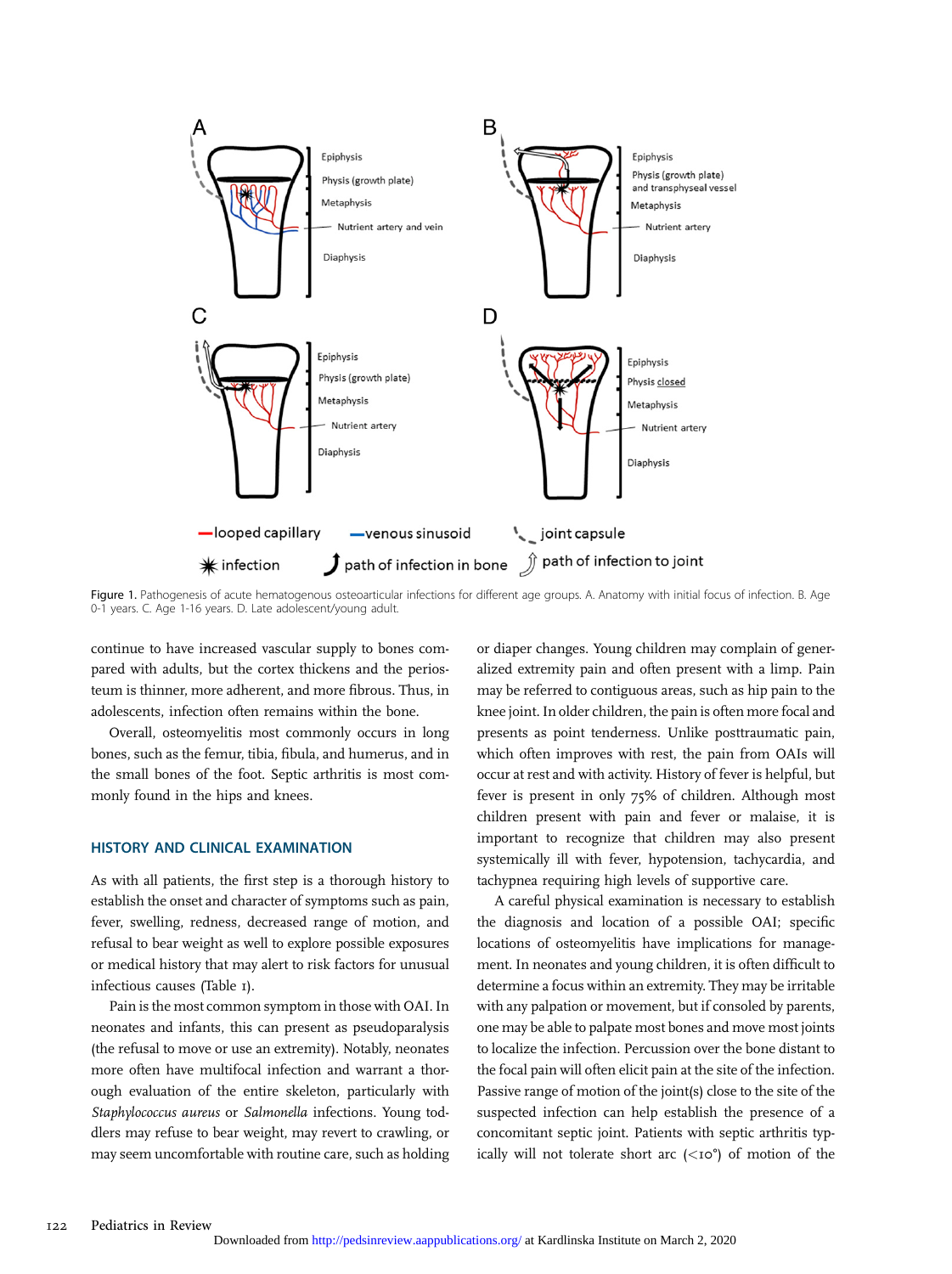

Figure 1. Pathogenesis of acute hematogenous osteoarticular infections for different age groups. A. Anatomy with initial focus of infection. B. Age 0-1 years. C. Age 1-16 years. D. Late adolescent/young adult.

continue to have increased vascular supply to bones compared with adults, but the cortex thickens and the periosteum is thinner, more adherent, and more fibrous. Thus, in adolescents, infection often remains within the bone.

Overall, osteomyelitis most commonly occurs in long bones, such as the femur, tibia, fibula, and humerus, and in the small bones of the foot. Septic arthritis is most commonly found in the hips and knees.

## HISTORY AND CLINICAL EXAMINATION

As with all patients, the first step is a thorough history to establish the onset and character of symptoms such as pain, fever, swelling, redness, decreased range of motion, and refusal to bear weight as well to explore possible exposures or medical history that may alert to risk factors for unusual infectious causes (Table 1).

Pain is the most common symptom in those with OAI. In neonates and infants, this can present as pseudoparalysis (the refusal to move or use an extremity). Notably, neonates more often have multifocal infection and warrant a thorough evaluation of the entire skeleton, particularly with Staphylococcus aureus or Salmonella infections. Young toddlers may refuse to bear weight, may revert to crawling, or may seem uncomfortable with routine care, such as holding or diaper changes. Young children may complain of generalized extremity pain and often present with a limp. Pain may be referred to contiguous areas, such as hip pain to the knee joint. In older children, the pain is often more focal and presents as point tenderness. Unlike posttraumatic pain, which often improves with rest, the pain from OAIs will occur at rest and with activity. History of fever is helpful, but fever is present in only 75% of children. Although most children present with pain and fever or malaise, it is important to recognize that children may also present systemically ill with fever, hypotension, tachycardia, and tachypnea requiring high levels of supportive care.

A careful physical examination is necessary to establish the diagnosis and location of a possible OAI; specific locations of osteomyelitis have implications for management. In neonates and young children, it is often difficult to determine a focus within an extremity. They may be irritable with any palpation or movement, but if consoled by parents, one may be able to palpate most bones and move most joints to localize the infection. Percussion over the bone distant to the focal pain will often elicit pain at the site of the infection. Passive range of motion of the joint(s) close to the site of the suspected infection can help establish the presence of a concomitant septic joint. Patients with septic arthritis typically will not tolerate short arc  $(*i*  $0^{\circ}$ )$  of motion of the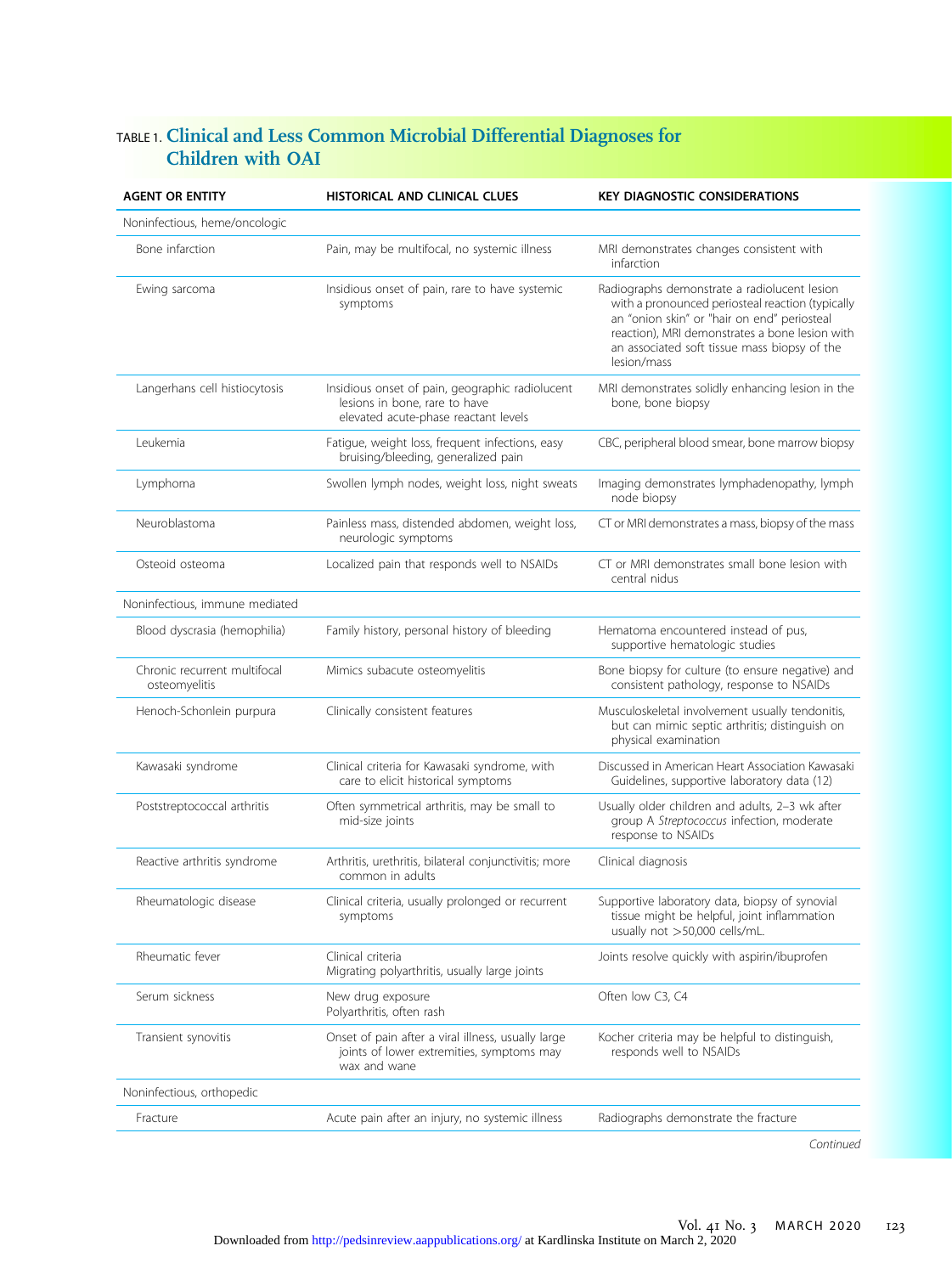# TABLE 1. Clinical and Less Common Microbial Differential Diagnoses for Children with OAI

| <b>AGENT OR ENTITY</b>                        | HISTORICAL AND CLINICAL CLUES                                                                                            | <b>KEY DIAGNOSTIC CONSIDERATIONS</b>                                                                                                                                                                                                                             |
|-----------------------------------------------|--------------------------------------------------------------------------------------------------------------------------|------------------------------------------------------------------------------------------------------------------------------------------------------------------------------------------------------------------------------------------------------------------|
| Noninfectious, heme/oncologic                 |                                                                                                                          |                                                                                                                                                                                                                                                                  |
| Bone infarction                               | Pain, may be multifocal, no systemic illness                                                                             | MRI demonstrates changes consistent with<br>infarction                                                                                                                                                                                                           |
| Ewing sarcoma                                 | Insidious onset of pain, rare to have systemic<br>symptoms                                                               | Radiographs demonstrate a radiolucent lesion<br>with a pronounced periosteal reaction (typically<br>an "onion skin" or "hair on end" periosteal<br>reaction), MRI demonstrates a bone lesion with<br>an associated soft tissue mass biopsy of the<br>lesion/mass |
| Langerhans cell histiocytosis                 | Insidious onset of pain, geographic radiolucent<br>lesions in bone, rare to have<br>elevated acute-phase reactant levels | MRI demonstrates solidly enhancing lesion in the<br>bone, bone biopsy                                                                                                                                                                                            |
| Leukemia                                      | Fatigue, weight loss, frequent infections, easy<br>bruising/bleeding, generalized pain                                   | CBC, peripheral blood smear, bone marrow biopsy                                                                                                                                                                                                                  |
| Lymphoma                                      | Swollen lymph nodes, weight loss, night sweats                                                                           | Imaging demonstrates lymphadenopathy, lymph<br>node biopsy                                                                                                                                                                                                       |
| Neuroblastoma                                 | Painless mass, distended abdomen, weight loss,<br>neurologic symptoms                                                    | CT or MRI demonstrates a mass, biopsy of the mass                                                                                                                                                                                                                |
| Osteoid osteoma                               | Localized pain that responds well to NSAIDs                                                                              | CT or MRI demonstrates small bone lesion with<br>central nidus                                                                                                                                                                                                   |
| Noninfectious, immune mediated                |                                                                                                                          |                                                                                                                                                                                                                                                                  |
| Blood dyscrasia (hemophilia)                  | Family history, personal history of bleeding                                                                             | Hematoma encountered instead of pus,<br>supportive hematologic studies                                                                                                                                                                                           |
| Chronic recurrent multifocal<br>osteomyelitis | Mimics subacute osteomyelitis                                                                                            | Bone biopsy for culture (to ensure negative) and<br>consistent pathology, response to NSAIDs                                                                                                                                                                     |
| Henoch-Schonlein purpura                      | Clinically consistent features                                                                                           | Musculoskeletal involvement usually tendonitis,<br>but can mimic septic arthritis; distinguish on<br>physical examination                                                                                                                                        |
| Kawasaki syndrome                             | Clinical criteria for Kawasaki syndrome, with<br>care to elicit historical symptoms                                      | Discussed in American Heart Association Kawasaki<br>Guidelines, supportive laboratory data (12)                                                                                                                                                                  |
| Poststreptococcal arthritis                   | Often symmetrical arthritis, may be small to<br>mid-size joints                                                          | Usually older children and adults, 2-3 wk after<br>group A Streptococcus infection, moderate<br>response to NSAIDs                                                                                                                                               |
| Reactive arthritis syndrome                   | Arthritis, urethritis, bilateral conjunctivitis; more<br>common in adults                                                | Clinical diagnosis                                                                                                                                                                                                                                               |
| Rheumatologic disease                         | Clinical criteria, usually prolonged or recurrent<br>symptoms                                                            | Supportive laboratory data, biopsy of synovial<br>tissue might be helpful, joint inflammation<br>usually not >50,000 cells/mL.                                                                                                                                   |
| Rheumatic fever                               | Clinical criteria<br>Migrating polyarthritis, usually large joints                                                       | Joints resolve quickly with aspirin/ibuprofen                                                                                                                                                                                                                    |
| Serum sickness                                | New drug exposure<br>Polyarthritis, often rash                                                                           | Often low C3, C4                                                                                                                                                                                                                                                 |
| Transient synovitis                           | Onset of pain after a viral illness, usually large<br>joints of lower extremities, symptoms may<br>wax and wane          | Kocher criteria may be helpful to distinguish,<br>responds well to NSAIDs                                                                                                                                                                                        |
| Noninfectious, orthopedic                     |                                                                                                                          |                                                                                                                                                                                                                                                                  |
| Fracture                                      | Acute pain after an injury, no systemic illness                                                                          | Radiographs demonstrate the fracture                                                                                                                                                                                                                             |
|                                               |                                                                                                                          |                                                                                                                                                                                                                                                                  |

Continued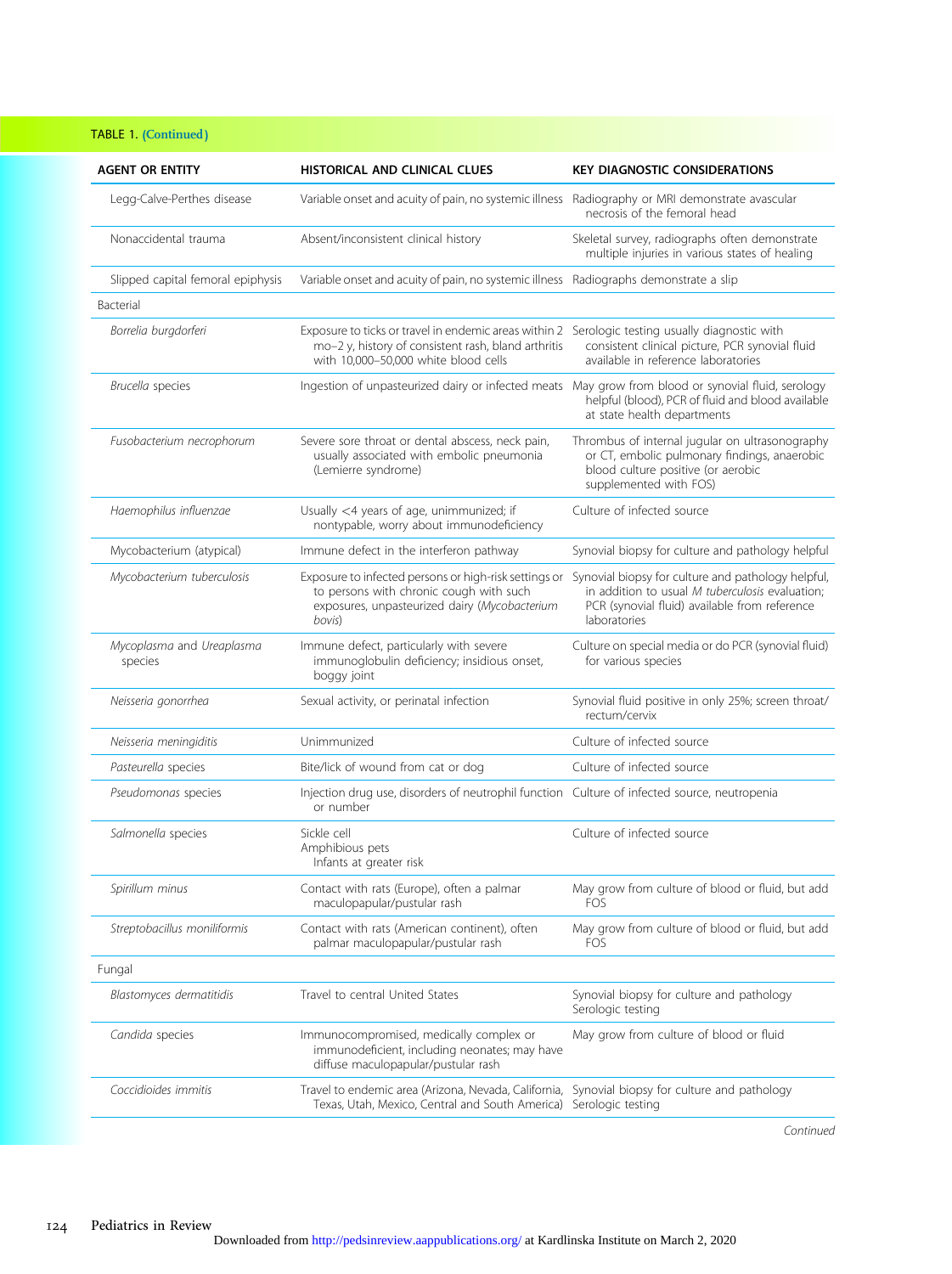# TABLE 1. (Continued)

| <b>AGENT OR ENTITY</b>               | HISTORICAL AND CLINICAL CLUES                                                                                                                                                                  | <b>KEY DIAGNOSTIC CONSIDERATIONS</b>                                                                                                                                   |
|--------------------------------------|------------------------------------------------------------------------------------------------------------------------------------------------------------------------------------------------|------------------------------------------------------------------------------------------------------------------------------------------------------------------------|
| Legg-Calve-Perthes disease           | Variable onset and acuity of pain, no systemic illness                                                                                                                                         | Radiography or MRI demonstrate avascular<br>necrosis of the femoral head                                                                                               |
| Nonaccidental trauma                 | Absent/inconsistent clinical history                                                                                                                                                           | Skeletal survey, radiographs often demonstrate<br>multiple injuries in various states of healing                                                                       |
| Slipped capital femoral epiphysis    | Variable onset and acuity of pain, no systemic illness Radiographs demonstrate a slip                                                                                                          |                                                                                                                                                                        |
| Bacterial                            |                                                                                                                                                                                                |                                                                                                                                                                        |
| Borrelia burgdorferi                 | Exposure to ticks or travel in endemic areas within 2 Serologic testing usually diagnostic with<br>mo-2 y, history of consistent rash, bland arthritis<br>with 10,000-50,000 white blood cells | consistent clinical picture, PCR synovial fluid<br>available in reference laboratories                                                                                 |
| Brucella species                     | Ingestion of unpasteurized dairy or infected meats May grow from blood or synovial fluid, serology                                                                                             | helpful (blood), PCR of fluid and blood available<br>at state health departments                                                                                       |
| Fusobacterium necrophorum            | Severe sore throat or dental abscess, neck pain,<br>usually associated with embolic pneumonia<br>(Lemierre syndrome)                                                                           | Thrombus of internal jugular on ultrasonography<br>or CT, embolic pulmonary findings, anaerobic<br>blood culture positive (or aerobic<br>supplemented with FOS)        |
| Haemophilus influenzae               | Usually <4 years of age, unimmunized; if<br>nontypable, worry about immunodeficiency                                                                                                           | Culture of infected source                                                                                                                                             |
| Mycobacterium (atypical)             | Immune defect in the interferon pathway                                                                                                                                                        | Synovial biopsy for culture and pathology helpful                                                                                                                      |
| Mycobacterium tuberculosis           | Exposure to infected persons or high-risk settings or<br>to persons with chronic cough with such<br>exposures, unpasteurized dairy (Mycobacterium<br>bovis)                                    | Synovial biopsy for culture and pathology helpful,<br>in addition to usual M tuberculosis evaluation;<br>PCR (synovial fluid) available from reference<br>laboratories |
| Mycoplasma and Ureaplasma<br>species | Immune defect, particularly with severe<br>immunoglobulin deficiency; insidious onset,<br>boggy joint                                                                                          | Culture on special media or do PCR (synovial fluid)<br>for various species                                                                                             |
| Neisseria gonorrhea                  | Sexual activity, or perinatal infection                                                                                                                                                        | Synovial fluid positive in only 25%; screen throat/<br>rectum/cervix                                                                                                   |
| Neisseria meningiditis               | Unimmunized                                                                                                                                                                                    | Culture of infected source                                                                                                                                             |
| Pasteurella species                  | Bite/lick of wound from cat or dog                                                                                                                                                             | Culture of infected source                                                                                                                                             |
| Pseudomonas species                  | Injection drug use, disorders of neutrophil function Culture of infected source, neutropenia<br>or number                                                                                      |                                                                                                                                                                        |
| Salmonella species                   | Sickle cell<br>Amphibious pets<br>Infants at greater risk                                                                                                                                      | Culture of infected source                                                                                                                                             |
| Spirillum minus                      | Contact with rats (Europe), often a palmar<br>maculopapular/pustular rash                                                                                                                      | May grow from culture of blood or fluid, but add<br><b>FOS</b>                                                                                                         |
| Streptobacillus moniliformis         | Contact with rats (American continent), often<br>palmar maculopapular/pustular rash                                                                                                            | May grow from culture of blood or fluid, but add<br>FOS                                                                                                                |
| Fungal                               |                                                                                                                                                                                                |                                                                                                                                                                        |
| Blastomyces dermatitidis             | Travel to central United States                                                                                                                                                                | Synovial biopsy for culture and pathology<br>Serologic testing                                                                                                         |
| Candida species                      | Immunocompromised, medically complex or<br>immunodeficient, including neonates; may have<br>diffuse maculopapular/pustular rash                                                                | May grow from culture of blood or fluid                                                                                                                                |
| Coccidioides immitis                 | Travel to endemic area (Arizona, Nevada, California,<br>Texas, Utah, Mexico, Central and South America)                                                                                        | Synovial biopsy for culture and pathology<br>Serologic testing                                                                                                         |
|                                      |                                                                                                                                                                                                |                                                                                                                                                                        |

Continued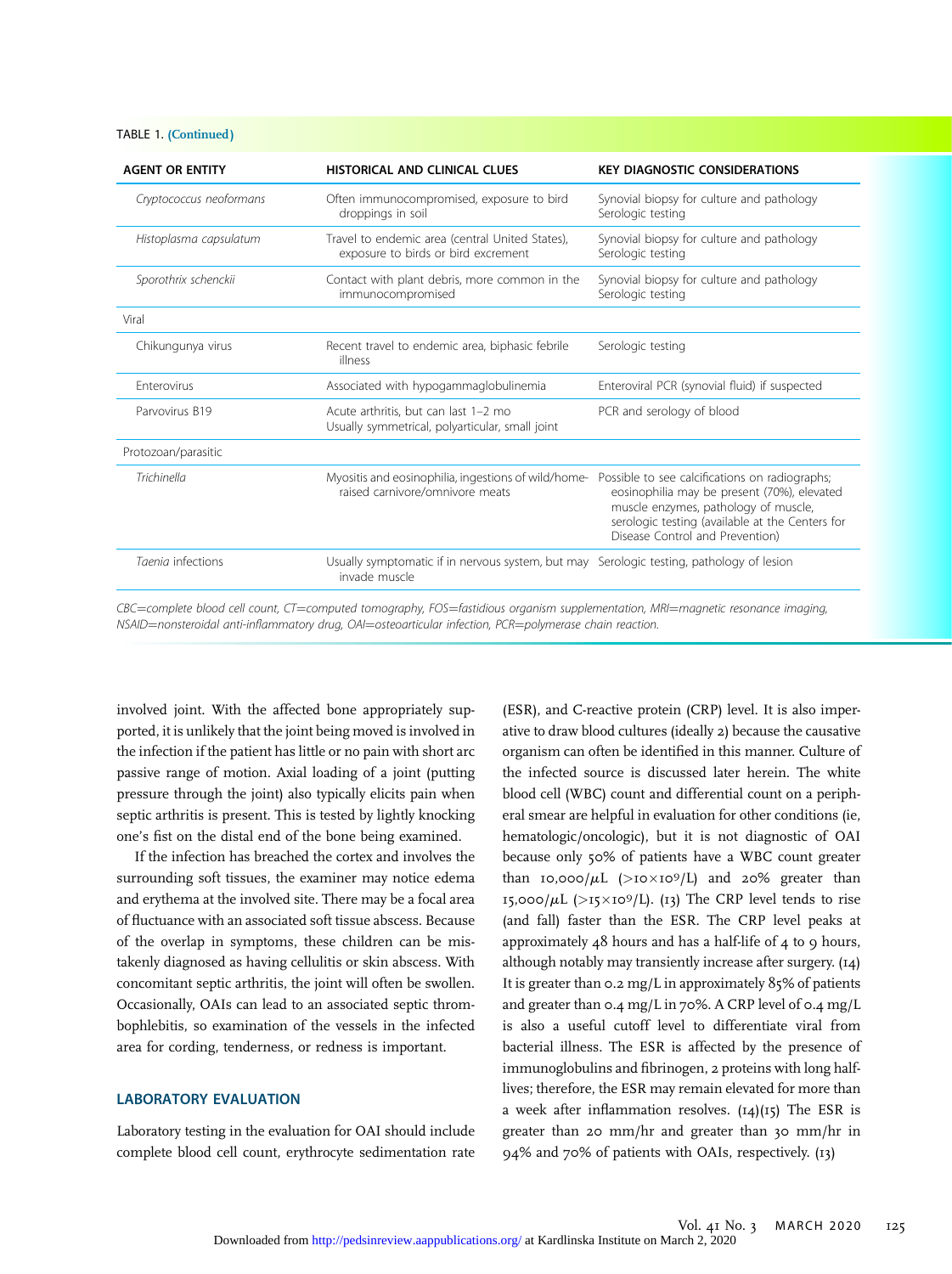#### TABLE 1. (Continued )

| <b>AGENT OR ENTITY</b>  | HISTORICAL AND CLINICAL CLUES                                                                             | <b>KEY DIAGNOSTIC CONSIDERATIONS</b>                                                                                                                                                                                        |
|-------------------------|-----------------------------------------------------------------------------------------------------------|-----------------------------------------------------------------------------------------------------------------------------------------------------------------------------------------------------------------------------|
| Cryptococcus neoformans | Often immunocompromised, exposure to bird<br>droppings in soil                                            | Synovial biopsy for culture and pathology<br>Serologic testing                                                                                                                                                              |
| Histoplasma capsulatum  | Travel to endemic area (central United States),<br>exposure to birds or bird excrement                    | Synovial biopsy for culture and pathology<br>Serologic testing                                                                                                                                                              |
| Sporothrix schenckii    | Contact with plant debris, more common in the<br>immunocompromised                                        | Synovial biopsy for culture and pathology<br>Serologic testing                                                                                                                                                              |
| Viral                   |                                                                                                           |                                                                                                                                                                                                                             |
| Chikungunya virus       | Recent travel to endemic area, biphasic febrile<br>illness                                                | Serologic testing                                                                                                                                                                                                           |
| <b>Enterovirus</b>      | Associated with hypogammaglobulinemia                                                                     | Enteroviral PCR (synovial fluid) if suspected                                                                                                                                                                               |
| Parvovirus B19          | Acute arthritis, but can last 1-2 mo<br>Usually symmetrical, polyarticular, small joint                   | PCR and serology of blood                                                                                                                                                                                                   |
| Protozoan/parasitic     |                                                                                                           |                                                                                                                                                                                                                             |
| Trichinella             | Myositis and eosinophilia, ingestions of wild/home-<br>raised carnivore/omnivore meats                    | Possible to see calcifications on radiographs;<br>eosinophilia may be present (70%), elevated<br>muscle enzymes, pathology of muscle,<br>serologic testing (available at the Centers for<br>Disease Control and Prevention) |
| Taenia infections       | Usually symptomatic if in nervous system, but may Serologic testing, pathology of lesion<br>invade muscle |                                                                                                                                                                                                                             |

CBC=complete blood cell count, CT=computed tomography, FOS=fastidious organism supplementation, MRI=magnetic resonance imaging, NSAID=nonsteroidal anti-inflammatory drug, OAI=osteoarticular infection, PCR=polymerase chain reaction.

involved joint. With the affected bone appropriately supported, it is unlikely that the joint being moved is involved in the infection if the patient has little or no pain with short arc passive range of motion. Axial loading of a joint (putting pressure through the joint) also typically elicits pain when septic arthritis is present. This is tested by lightly knocking one's fist on the distal end of the bone being examined.

If the infection has breached the cortex and involves the surrounding soft tissues, the examiner may notice edema and erythema at the involved site. There may be a focal area of fluctuance with an associated soft tissue abscess. Because of the overlap in symptoms, these children can be mistakenly diagnosed as having cellulitis or skin abscess. With concomitant septic arthritis, the joint will often be swollen. Occasionally, OAIs can lead to an associated septic thrombophlebitis, so examination of the vessels in the infected area for cording, tenderness, or redness is important.

#### LABORATORY EVALUATION

Laboratory testing in the evaluation for OAI should include complete blood cell count, erythrocyte sedimentation rate

(ESR), and C-reactive protein (CRP) level. It is also imperative to draw blood cultures (ideally 2) because the causative organism can often be identified in this manner. Culture of the infected source is discussed later herein. The white blood cell (WBC) count and differential count on a peripheral smear are helpful in evaluation for other conditions (ie, hematologic/oncologic), but it is not diagnostic of OAI because only 50% of patients have a WBC count greater than 10,000/ $\mu$ L (>10×109/L) and 20% greater than 15,000/ $\mu$ L (>15×10<sup>9</sup>/L). (13) The CRP level tends to rise (and fall) faster than the ESR. The CRP level peaks at approximately  $48$  hours and has a half-life of  $4$  to 9 hours, although notably may transiently increase after surgery. (14) It is greater than 0.2 mg/L in approximately 85% of patients and greater than 0.4 mg/L in 70%. A CRP level of 0.4 mg/L is also a useful cutoff level to differentiate viral from bacterial illness. The ESR is affected by the presence of immunoglobulins and fibrinogen, 2 proteins with long halflives; therefore, the ESR may remain elevated for more than a week after inflammation resolves.  $(I4)(I5)$  The ESR is greater than 20 mm/hr and greater than 30 mm/hr in 94% and 70% of patients with OAIs, respectively. (13)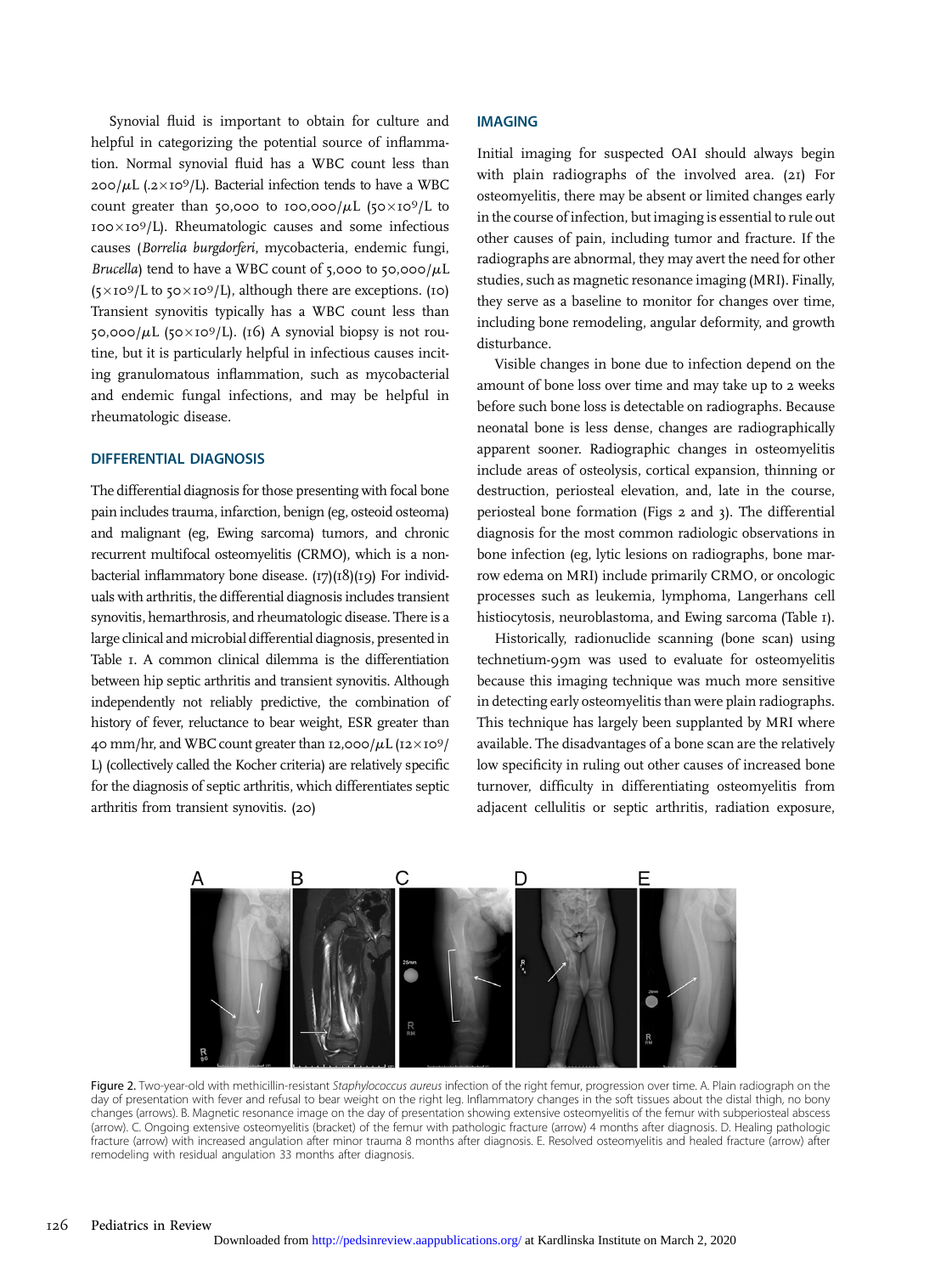Synovial fluid is important to obtain for culture and helpful in categorizing the potential source of inflammation. Normal synovial fluid has a WBC count less than  $200/\mu L$  (.2×10<sup>9</sup>/L). Bacterial infection tends to have a WBC count greater than 50,000 to 100,000/ $\mu$ L (50×109/L to  $100\times10^{9}$ /L). Rheumatologic causes and some infectious causes (Borrelia burgdorferi, mycobacteria, endemic fungi, Brucella) tend to have a WBC count of 5,000 to 50,000/ $\mu$ L  $(5\times10^9/L$  to  $50\times10^9/L$ ), although there are exceptions. (10) Transient synovitis typically has a WBC count less than 50,000/ $\mu$ L (50×10<sup>9</sup>/L). (16) A synovial biopsy is not routine, but it is particularly helpful in infectious causes inciting granulomatous inflammation, such as mycobacterial and endemic fungal infections, and may be helpful in rheumatologic disease.

# DIFFERENTIAL DIAGNOSIS

The differential diagnosis for those presenting with focal bone pain includes trauma, infarction, benign (eg, osteoid osteoma) and malignant (eg, Ewing sarcoma) tumors, and chronic recurrent multifocal osteomyelitis (CRMO), which is a nonbacterial inflammatory bone disease.  $(17)(18)(19)$  For individuals with arthritis, the differential diagnosis includes transient synovitis, hemarthrosis, and rheumatologic disease. There is a large clinical and microbial differential diagnosis, presented in Table 1. A common clinical dilemma is the differentiation between hip septic arthritis and transient synovitis. Although independently not reliably predictive, the combination of history of fever, reluctance to bear weight, ESR greater than 40 mm/hr, and WBC count greater than 12,000/ $\mu$ L (12×109/ L) (collectively called the Kocher criteria) are relatively specific for the diagnosis of septic arthritis, which differentiates septic arthritis from transient synovitis. (20)

### IMAGING

Initial imaging for suspected OAI should always begin with plain radiographs of the involved area. (21) For osteomyelitis, there may be absent or limited changes early in the course of infection, but imaging is essential to rule out other causes of pain, including tumor and fracture. If the radiographs are abnormal, they may avert the need for other studies, such as magnetic resonance imaging (MRI). Finally, they serve as a baseline to monitor for changes over time, including bone remodeling, angular deformity, and growth disturbance.

Visible changes in bone due to infection depend on the amount of bone loss over time and may take up to 2 weeks before such bone loss is detectable on radiographs. Because neonatal bone is less dense, changes are radiographically apparent sooner. Radiographic changes in osteomyelitis include areas of osteolysis, cortical expansion, thinning or destruction, periosteal elevation, and, late in the course, periosteal bone formation (Figs 2 and 3). The differential diagnosis for the most common radiologic observations in bone infection (eg, lytic lesions on radiographs, bone marrow edema on MRI) include primarily CRMO, or oncologic processes such as leukemia, lymphoma, Langerhans cell histiocytosis, neuroblastoma, and Ewing sarcoma (Table 1).

Historically, radionuclide scanning (bone scan) using technetium-99m was used to evaluate for osteomyelitis because this imaging technique was much more sensitive in detecting early osteomyelitis than were plain radiographs. This technique has largely been supplanted by MRI where available. The disadvantages of a bone scan are the relatively low specificity in ruling out other causes of increased bone turnover, difficulty in differentiating osteomyelitis from adjacent cellulitis or septic arthritis, radiation exposure,



Figure 2. Two-year-old with methicillin-resistant Staphylococcus aureus infection of the right femur, progression over time. A. Plain radiograph on the day of presentation with fever and refusal to bear weight on the right leg. Inflammatory changes in the soft tissues about the distal thigh, no bony changes (arrows). B. Magnetic resonance image on the day of presentation showing extensive osteomyelitis of the femur with subperiosteal abscess (arrow). C. Ongoing extensive osteomyelitis (bracket) of the femur with pathologic fracture (arrow) 4 months after diagnosis. D. Healing pathologic fracture (arrow) with increased angulation after minor trauma 8 months after diagnosis. E. Resolved osteomyelitis and healed fracture (arrow) after remodeling with residual angulation 33 months after diagnosis.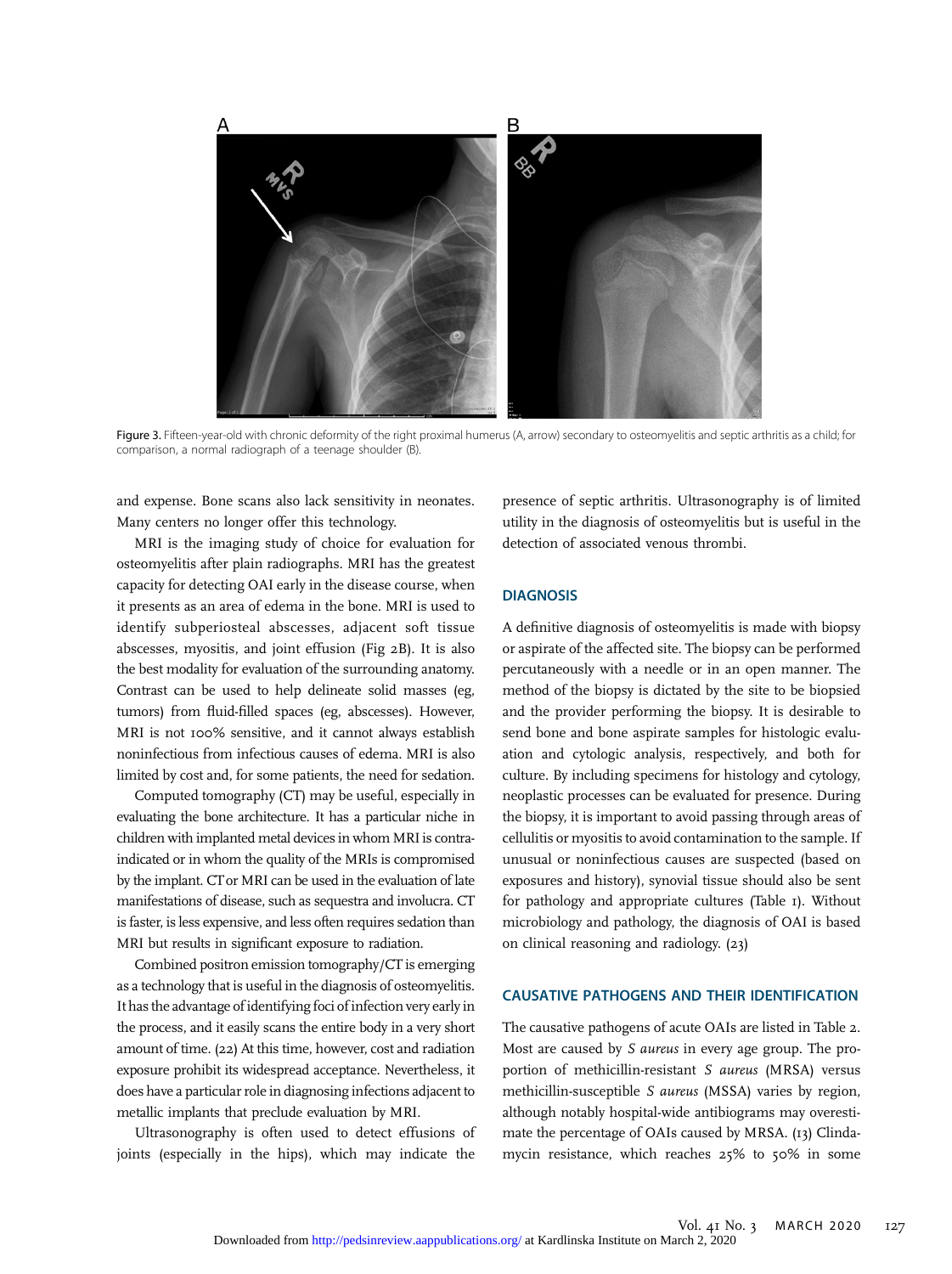

Figure 3. Fifteen-year-old with chronic deformity of the right proximal humerus (A, arrow) secondary to osteomyelitis and septic arthritis as a child; for comparison, a normal radiograph of a teenage shoulder (B).

and expense. Bone scans also lack sensitivity in neonates. Many centers no longer offer this technology.

MRI is the imaging study of choice for evaluation for osteomyelitis after plain radiographs. MRI has the greatest capacity for detecting OAI early in the disease course, when it presents as an area of edema in the bone. MRI is used to identify subperiosteal abscesses, adjacent soft tissue abscesses, myositis, and joint effusion (Fig 2B). It is also the best modality for evaluation of the surrounding anatomy. Contrast can be used to help delineate solid masses (eg, tumors) from fluid-filled spaces (eg, abscesses). However, MRI is not 100% sensitive, and it cannot always establish noninfectious from infectious causes of edema. MRI is also limited by cost and, for some patients, the need for sedation.

Computed tomography (CT) may be useful, especially in evaluating the bone architecture. It has a particular niche in children with implanted metal devices in whom MRI is contraindicated or in whom the quality of the MRIs is compromised by the implant. CT or MRI can be used in the evaluation of late manifestations of disease, such as sequestra and involucra. CT is faster, is less expensive, and less often requires sedation than MRI but results in significant exposure to radiation.

Combined positron emission tomography/CT is emerging as a technology that is useful in the diagnosis of osteomyelitis. It hasthe advantage of identifying foci of infection very early in the process, and it easily scans the entire body in a very short amount of time. (22) At this time, however, cost and radiation exposure prohibit its widespread acceptance. Nevertheless, it does have a particular role in diagnosing infections adjacent to metallic implants that preclude evaluation by MRI.

Ultrasonography is often used to detect effusions of joints (especially in the hips), which may indicate the

presence of septic arthritis. Ultrasonography is of limited utility in the diagnosis of osteomyelitis but is useful in the detection of associated venous thrombi.

# **DIAGNOSIS**

A definitive diagnosis of osteomyelitis is made with biopsy or aspirate of the affected site. The biopsy can be performed percutaneously with a needle or in an open manner. The method of the biopsy is dictated by the site to be biopsied and the provider performing the biopsy. It is desirable to send bone and bone aspirate samples for histologic evaluation and cytologic analysis, respectively, and both for culture. By including specimens for histology and cytology, neoplastic processes can be evaluated for presence. During the biopsy, it is important to avoid passing through areas of cellulitis or myositis to avoid contamination to the sample. If unusual or noninfectious causes are suspected (based on exposures and history), synovial tissue should also be sent for pathology and appropriate cultures (Table 1). Without microbiology and pathology, the diagnosis of OAI is based on clinical reasoning and radiology. (23)

## CAUSATIVE PATHOGENS AND THEIR IDENTIFICATION

The causative pathogens of acute OAIs are listed in Table 2. Most are caused by S aureus in every age group. The proportion of methicillin-resistant S aureus (MRSA) versus methicillin-susceptible S aureus (MSSA) varies by region, although notably hospital-wide antibiograms may overestimate the percentage of OAIs caused by MRSA. (13) Clindamycin resistance, which reaches 25% to 50% in some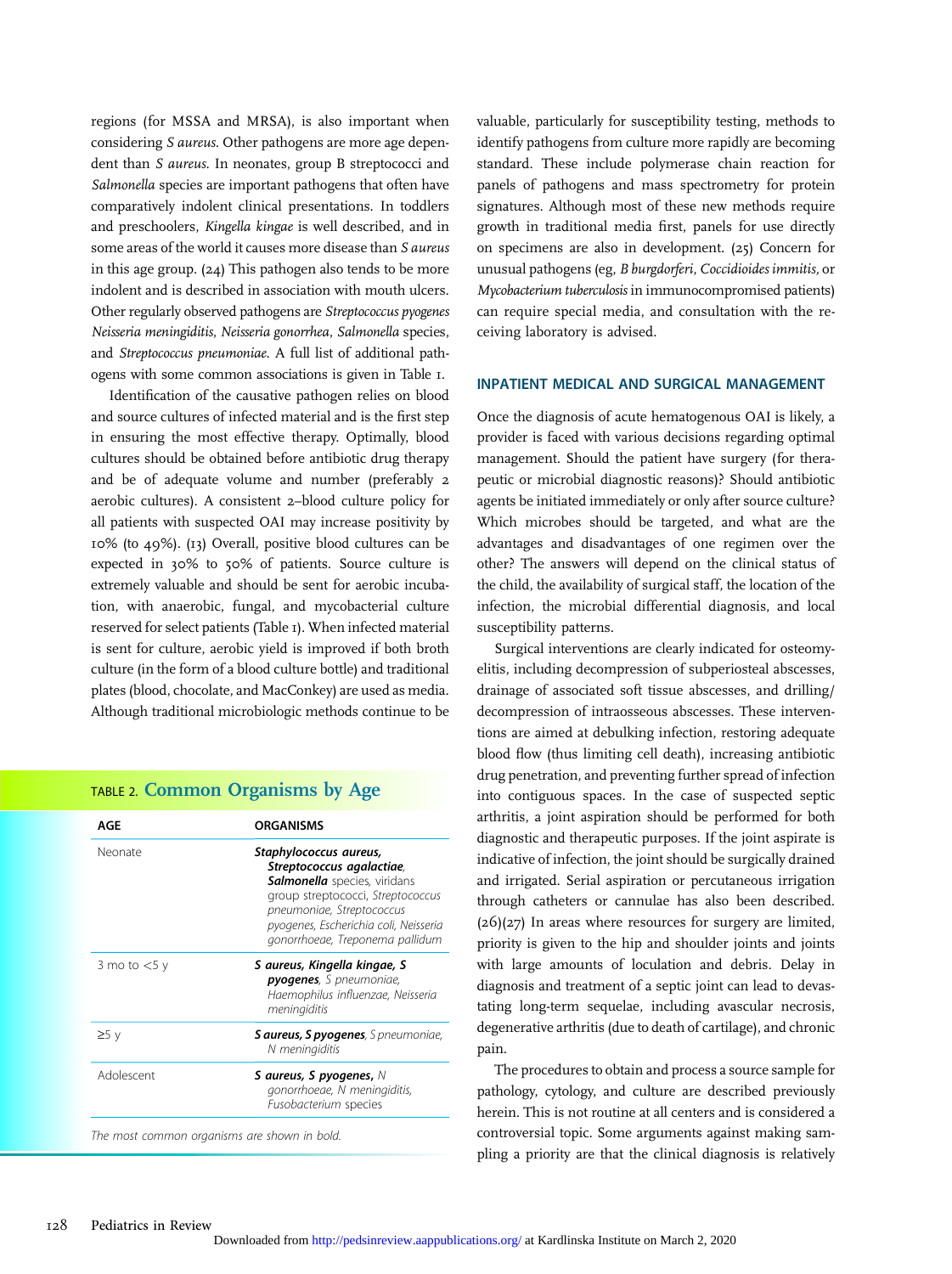regions (for MSSA and MRSA), is also important when considering S aureus. Other pathogens are more age dependent than S aureus. In neonates, group B streptococci and Salmonella species are important pathogens that often have comparatively indolent clinical presentations. In toddlers and preschoolers, Kingella kingae is well described, and in some areas of the world it causes more disease than S aureus in this age group. (24) This pathogen also tends to be more indolent and is described in association with mouth ulcers. Other regularly observed pathogens are Streptococcus pyogenes Neisseria meningiditis, Neisseria gonorrhea, Salmonella species, and Streptococcus pneumoniae. A full list of additional pathogens with some common associations is given in Table 1.

Identification of the causative pathogen relies on blood and source cultures of infected material and is the first step in ensuring the most effective therapy. Optimally, blood cultures should be obtained before antibiotic drug therapy and be of adequate volume and number (preferably 2 aerobic cultures). A consistent 2–blood culture policy for all patients with suspected OAI may increase positivity by 10% (to 49%). (13) Overall, positive blood cultures can be expected in 30% to 50% of patients. Source culture is extremely valuable and should be sent for aerobic incubation, with anaerobic, fungal, and mycobacterial culture reserved for select patients (Table 1). When infected material is sent for culture, aerobic yield is improved if both broth culture (in the form of a blood culture bottle) and traditional plates (blood, chocolate, and MacConkey) are used as media. Although traditional microbiologic methods continue to be

# TABLE 2. Common Organisms by Age

| AGE                                          | <b>ORGANISMS</b>                                                                                                                                                                                                                         |
|----------------------------------------------|------------------------------------------------------------------------------------------------------------------------------------------------------------------------------------------------------------------------------------------|
| Neonate                                      | Staphylococcus aureus,<br>Streptococcus agalactiae,<br><b>Salmonella</b> species, viridans<br>group streptococci, Streptococcus<br>pneumoniae, Streptococcus<br>pyogenes, Escherichia coli, Neisseria<br>gonorrhoeae, Treponema pallidum |
| 3 mo to $<$ 5 y                              | S aureus, Kingella kingae, S<br><b>pyogenes</b> , S pneumoniae,<br>Haemophilus influenzae, Neisseria<br>meningiditis                                                                                                                     |
| ≥5 v                                         | <b>S aureus, S pyogenes</b> , S pneumoniae,<br>N meningiditis                                                                                                                                                                            |
| Adolescent                                   | S aureus, S pyogenes, $N$<br>gonorrhoeae, N meningiditis,<br>Fusobacterium species                                                                                                                                                       |
| The most common organisms are shown in bold. |                                                                                                                                                                                                                                          |

valuable, particularly for susceptibility testing, methods to identify pathogens from culture more rapidly are becoming standard. These include polymerase chain reaction for panels of pathogens and mass spectrometry for protein signatures. Although most of these new methods require growth in traditional media first, panels for use directly on specimens are also in development. (25) Concern for unusual pathogens (eg, B burgdorferi, Coccidioides immitis, or Mycobacterium tuberculosis in immunocompromised patients) can require special media, and consultation with the receiving laboratory is advised.

## INPATIENT MEDICAL AND SURGICAL MANAGEMENT

Once the diagnosis of acute hematogenous OAI is likely, a provider is faced with various decisions regarding optimal management. Should the patient have surgery (for therapeutic or microbial diagnostic reasons)? Should antibiotic agents be initiated immediately or only after source culture? Which microbes should be targeted, and what are the advantages and disadvantages of one regimen over the other? The answers will depend on the clinical status of the child, the availability of surgical staff, the location of the infection, the microbial differential diagnosis, and local susceptibility patterns.

Surgical interventions are clearly indicated for osteomyelitis, including decompression of subperiosteal abscesses, drainage of associated soft tissue abscesses, and drilling/ decompression of intraosseous abscesses. These interventions are aimed at debulking infection, restoring adequate blood flow (thus limiting cell death), increasing antibiotic drug penetration, and preventing further spread of infection into contiguous spaces. In the case of suspected septic arthritis, a joint aspiration should be performed for both diagnostic and therapeutic purposes. If the joint aspirate is indicative of infection, the joint should be surgically drained and irrigated. Serial aspiration or percutaneous irrigation through catheters or cannulae has also been described. (26)(27) In areas where resources for surgery are limited, priority is given to the hip and shoulder joints and joints with large amounts of loculation and debris. Delay in diagnosis and treatment of a septic joint can lead to devastating long-term sequelae, including avascular necrosis, degenerative arthritis (due to death of cartilage), and chronic pain.

The procedures to obtain and process a source sample for pathology, cytology, and culture are described previously herein. This is not routine at all centers and is considered a controversial topic. Some arguments against making sampling a priority are that the clinical diagnosis is relatively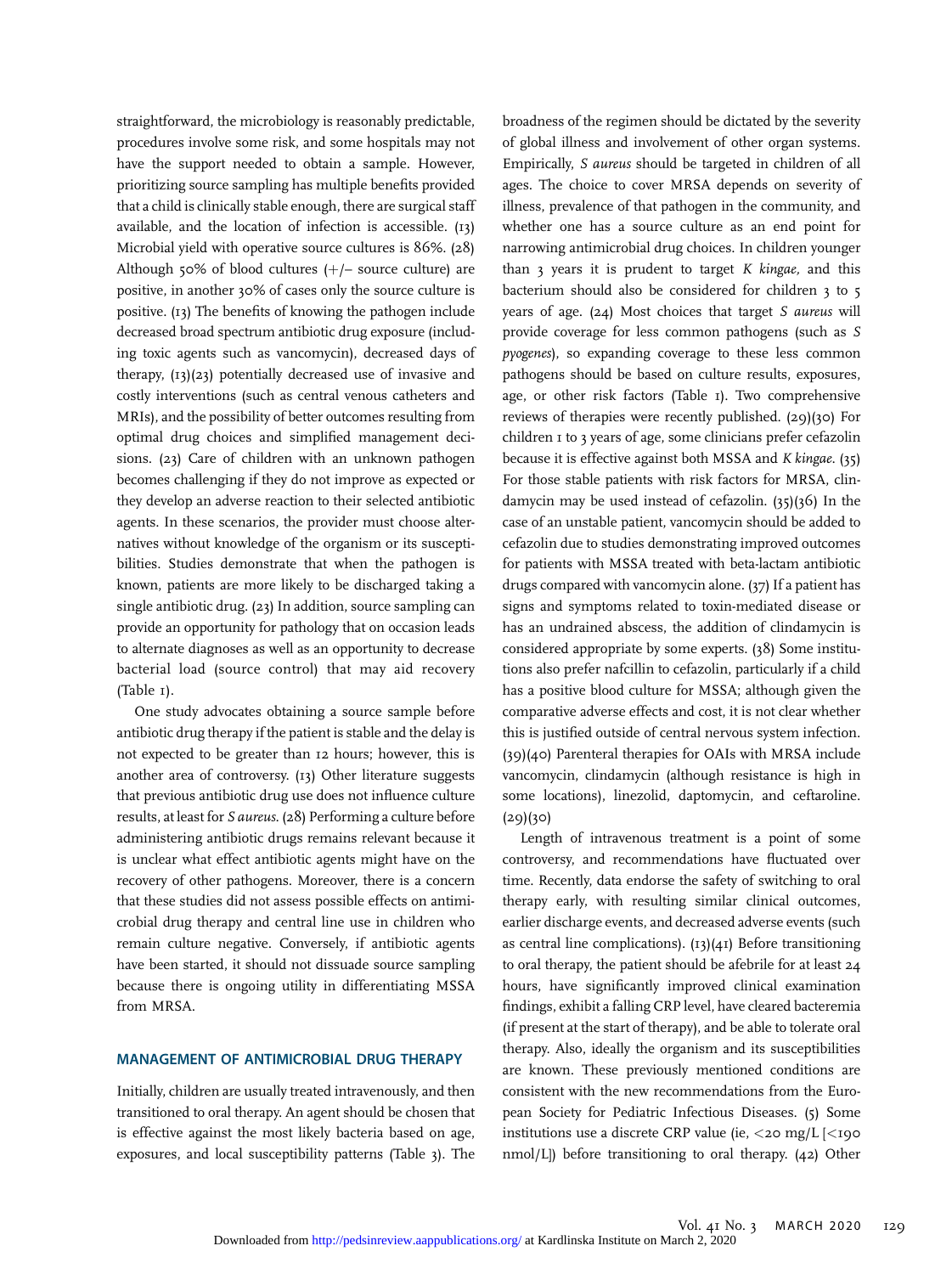straightforward, the microbiology is reasonably predictable, procedures involve some risk, and some hospitals may not have the support needed to obtain a sample. However, prioritizing source sampling has multiple benefits provided that a child is clinically stable enough, there are surgical staff available, and the location of infection is accessible. (13) Microbial yield with operative source cultures is 86%. (28) Although 50% of blood cultures  $(+/-$  source culture) are positive, in another 30% of cases only the source culture is positive. (13) The benefits of knowing the pathogen include decreased broad spectrum antibiotic drug exposure (including toxic agents such as vancomycin), decreased days of therapy,  $(13)(23)$  potentially decreased use of invasive and costly interventions (such as central venous catheters and MRIs), and the possibility of better outcomes resulting from optimal drug choices and simplified management decisions. (23) Care of children with an unknown pathogen becomes challenging if they do not improve as expected or they develop an adverse reaction to their selected antibiotic agents. In these scenarios, the provider must choose alternatives without knowledge of the organism or its susceptibilities. Studies demonstrate that when the pathogen is known, patients are more likely to be discharged taking a single antibiotic drug. (23) In addition, source sampling can provide an opportunity for pathology that on occasion leads to alternate diagnoses as well as an opportunity to decrease bacterial load (source control) that may aid recovery (Table 1).

One study advocates obtaining a source sample before antibiotic drug therapy if the patient is stable and the delay is not expected to be greater than 12 hours; however, this is another area of controversy. (13) Other literature suggests that previous antibiotic drug use does not influence culture results, at least for S aureus. (28) Performing a culture before administering antibiotic drugs remains relevant because it is unclear what effect antibiotic agents might have on the recovery of other pathogens. Moreover, there is a concern that these studies did not assess possible effects on antimicrobial drug therapy and central line use in children who remain culture negative. Conversely, if antibiotic agents have been started, it should not dissuade source sampling because there is ongoing utility in differentiating MSSA from MRSA.

### MANAGEMENT OF ANTIMICROBIAL DRUG THERAPY

Initially, children are usually treated intravenously, and then transitioned to oral therapy. An agent should be chosen that is effective against the most likely bacteria based on age, exposures, and local susceptibility patterns (Table 3). The

broadness of the regimen should be dictated by the severity of global illness and involvement of other organ systems. Empirically, S aureus should be targeted in children of all ages. The choice to cover MRSA depends on severity of illness, prevalence of that pathogen in the community, and whether one has a source culture as an end point for narrowing antimicrobial drug choices. In children younger than  $3$  years it is prudent to target  $K$  kingae, and this bacterium should also be considered for children 3 to 5 years of age. (24) Most choices that target S aureus will provide coverage for less common pathogens (such as S pyogenes), so expanding coverage to these less common pathogens should be based on culture results, exposures, age, or other risk factors (Table 1). Two comprehensive reviews of therapies were recently published. (29)(30) For children 1 to 3 years of age, some clinicians prefer cefazolin because it is effective against both MSSA and K kingae. (35) For those stable patients with risk factors for MRSA, clindamycin may be used instead of cefazolin. (35)(36) In the case of an unstable patient, vancomycin should be added to cefazolin due to studies demonstrating improved outcomes for patients with MSSA treated with beta-lactam antibiotic drugs compared with vancomycin alone. (37) If a patient has signs and symptoms related to toxin-mediated disease or has an undrained abscess, the addition of clindamycin is considered appropriate by some experts. (38) Some institutions also prefer nafcillin to cefazolin, particularly if a child has a positive blood culture for MSSA; although given the comparative adverse effects and cost, it is not clear whether this is justified outside of central nervous system infection. (39)(40) Parenteral therapies for OAIs with MRSA include vancomycin, clindamycin (although resistance is high in some locations), linezolid, daptomycin, and ceftaroline.  $(29)(30)$ 

Length of intravenous treatment is a point of some controversy, and recommendations have fluctuated over time. Recently, data endorse the safety of switching to oral therapy early, with resulting similar clinical outcomes, earlier discharge events, and decreased adverse events (such as central line complications). (13)(41) Before transitioning to oral therapy, the patient should be afebrile for at least 24 hours, have significantly improved clinical examination findings, exhibit a falling CRP level, have cleared bacteremia (if present at the start of therapy), and be able to tolerate oral therapy. Also, ideally the organism and its susceptibilities are known. These previously mentioned conditions are consistent with the new recommendations from the European Society for Pediatric Infectious Diseases. (5) Some institutions use a discrete CRP value (ie,  $\langle$ 20 mg/L  $|$  $\langle$ 190 nmol/L]) before transitioning to oral therapy. (42) Other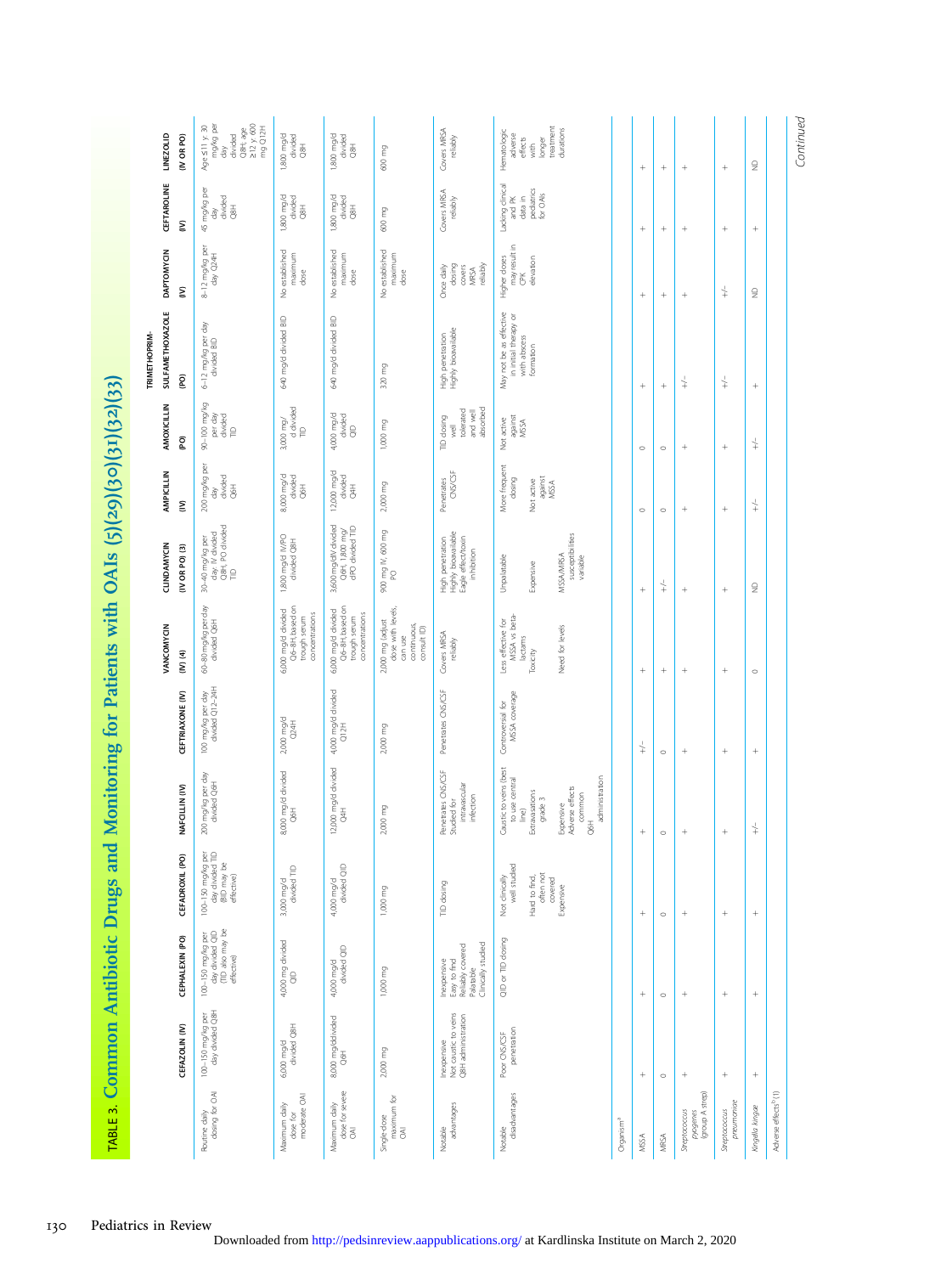| Age S11 y: 30<br>mg/kg per<br>$212$ y: 600<br>mg Q12H<br>longer<br>treatment<br>Q8H; age<br>Covers MRSA<br>reliably<br>durations<br>Hematologic<br><b>LINEZOLID</b><br>divided<br>1,800 mg/d<br>IV OR PO)<br>1,800 mg/d<br>divided<br>adverse<br>divided<br>effects<br>with<br>$\overline{8}$<br>$\overline{8}$<br>600 mg<br>day<br>$\frac{\circ}{\mathbb{Z}}$<br>$^{+}$<br>$\! + \!\!\!\!$<br>$^{+}$<br>CEFTAROLINE<br>Lacking clinical<br>45 mg/kg per<br>pediatrics<br>for OAIs<br>Covers MRSA<br>reliably<br>divided<br>Q8H<br>1,800 mg/d<br>divided<br>1,800 mg/d<br>divided<br>and PK<br>data in<br>$\overline{8}$<br>$\overline{8}$<br>600 mg<br>day<br>ξ<br>$^{+}$<br>$^{+}$<br>may result in<br>8-12 mg/kg per<br>day Q24H<br><b>DAPTOMYCIN</b><br>No established<br>No established<br>No established<br>maximum<br>maximum<br>maximum<br>Higher doses<br>elevation<br>reliably<br>Once daily<br>dosing<br>covers<br>MRSA<br>dose<br>dose<br>dose<br>CPK<br>$\downarrow$<br>ξ<br>$\frac{1}{2}$<br>$^{+}$<br>$^{+}$<br>$^{+}$<br><b>SULFAMETHOXAZOLE</b><br>May not be as effective<br>in initial therapy or<br>640 mg/d divided BID<br>640 mg/d divided BID<br>6-12 mg/kg per day<br>divided BID<br>High penetration<br>Highly bioavailable<br>TRIMETHOPRIM-<br>with abscess<br>formation<br>320 mg<br><b>Q</b><br>$\downarrow$<br>$\downarrow$<br>$^{+}$<br>$^{+}$<br>90-100 mg/kg<br>AMOXICILLIN<br>d divided<br>absorbed<br>tolerated<br>and well<br>per day<br>4,000 mg/d<br>divided<br>divided<br>TID<br>TID dosing<br>against<br>MSSA<br>Not active<br>$3,000$ mg/<br>1,000 mg<br>well<br>$\frac{\Theta}{\Theta}$<br>$\mathsf{P}$<br>(PO)<br>$\downarrow$<br>$^{+}$<br>$\circ$<br>$\circ$<br>200 mg/kg per<br>More frequent<br>12,000 mg/d<br>divided<br>AMPICILLIN<br>$CNS/\!\!/CSF$<br>divided<br>Q6H<br>8,000 mg/d<br>divided<br>against<br>MSSA<br>dosing<br>Penetrates<br>Not active<br>2,000 mg<br>$rac{1}{8}$<br>$\overline{5}$<br>day<br>ξ<br>$\frac{1}{+}$<br>$\! + \!\!\!\!$<br>$\circ$<br>$\circ$<br>3,600 mg/dIV divided<br>Q6H, 1,800 mg/<br>dPO divided TID<br>30–40 mg/kg per<br>day: IV divided<br>Q8H, PO divided<br>TID<br>900 mg N, 600 mg<br>Highly bioavailable<br>Eagle effect/toxin<br>MSSA/MRSA<br>susceptibilities<br>variable<br>1,800 mg/d IV/PO<br>divided Q8H<br>High penetration<br>CLINDAMYCIN<br>$(IV)$ OR PO $(3)$<br>inhibition<br>Unpalatable<br>Expensive<br>PO<br>$\downarrow$<br>$\trianglerighteq$<br>$^{+}$<br>$\! + \!\!\!\!$<br>Q6-8H, based on<br>Q6-8H, based on<br>60–80 mg/kg per day<br>divided Q6H<br>dose with levels,<br>6,000 mg/d divided<br>6,000 mg/d divided<br>concentrations<br>trough serum<br>concentrations<br>MSSA vs beta-<br>trough serum<br>2,000 mg (adjust<br>Less effective for<br>continuous,<br>VANCOMYCIN<br>Need for levels<br>consult <sub>(D)</sub><br>Covers MRSA<br>reliably<br>can use<br>lactams<br>Toxicity<br>$(1)$ $(4)$<br>$^{+}$<br>$^{+}$<br>$\circ$<br>100 mg/kg per day<br>divided Q12-24H<br>Penetrates CNS/CSF<br>4,000 mg/d divided<br>Q12H<br>MSSA coverage<br>CEFTRIAXONE (IV)<br>Controversial for<br>$2,000 \text{ mg/d}$<br>Q24H<br>2,000 mg<br>$\downarrow$<br>$\circ$<br>12,000 mg/d divided<br>Caustic to veins (best<br>Penetrates CNS/CSF<br>Studied for<br>intravascular<br>infection<br>8,000 mg/d divided<br>200 mg/kg per day<br>divided Q6H<br>administration<br>to use central<br>NAFCILLIN (IV)<br>Expensive<br>Adverse effects<br>Extravasations<br>common<br>grade 3<br>2,000 mg<br>$\overline{3}$<br>$\overline{\mathcal{S}}$<br>line)<br>$\overline{5}$<br>$\stackrel{\perp}{+}$<br>$^{+}$<br>$^{+}$<br>$\circ$<br>100-150 mg/kg per<br>day divided TID<br>(BID may be<br>effective)<br>CEFADROXIL (PO)<br>4,000 mg/d<br>divided QID<br>well studied<br>divided TID<br>often not<br>covered<br>Expensive<br>Not clinically<br>Hard to find,<br>3,000 mg/d<br>TID dosing<br>1,000 mg<br>$^+$<br>$^{+}$<br>$\circ$<br>100-150 mg/kg per<br>day divided QID<br>(TID also may be<br>effective)<br>CEPHALEXIN (PO)<br>QID or TID dosing<br>4,000 mg divided<br>QID<br>Clinically studied<br>Easy to find<br>Reliably covered<br>Palatable<br>divided QID<br>Inexpensive<br>4,000 mg/d<br>1,000 mg<br>$^{+}$<br>$\! + \!\!\!\!$<br>$\! + \!\!\!\!$<br>$\circ$<br>100-150 mg/kg per<br>day divided Q8H<br>Inexpensive<br>Not caustic to veins<br>Q8H administration<br>8,000 mg/ddivided | Common Antibiotic Drugs and |  | Monitoring for Patients with OAIs (5)(29)(30)(31)(32)(33) |  |  |  |  |
|---------------------------------------------------------------------------------------------------------------------------------------------------------------------------------------------------------------------------------------------------------------------------------------------------------------------------------------------------------------------------------------------------------------------------------------------------------------------------------------------------------------------------------------------------------------------------------------------------------------------------------------------------------------------------------------------------------------------------------------------------------------------------------------------------------------------------------------------------------------------------------------------------------------------------------------------------------------------------------------------------------------------------------------------------------------------------------------------------------------------------------------------------------------------------------------------------------------------------------------------------------------------------------------------------------------------------------------------------------------------------------------------------------------------------------------------------------------------------------------------------------------------------------------------------------------------------------------------------------------------------------------------------------------------------------------------------------------------------------------------------------------------------------------------------------------------------------------------------------------------------------------------------------------------------------------------------------------------------------------------------------------------------------------------------------------------------------------------------------------------------------------------------------------------------------------------------------------------------------------------------------------------------------------------------------------------------------------------------------------------------------------------------------------------------------------------------------------------------------------------------------------------------------------------------------------------------------------------------------------------------------------------------------------------------------------------------------------------------------------------------------------------------------------------------------------------------------------------------------------------------------------------------------------------------------------------------------------------------------------------------------------------------------------------------------------------------------------------------------------------------------------------------------------------------------------------------------------------------------------------------------------------------------------------------------------------------------------------------------------------------------------------------------------------------------------------------------------------------------------------------------------------------------------------------------------------------------------------------------------------------------------------------------------------------------------------------------------------------------------------------------------------------------------------------------------------------------------------------------------------------------------------------------------------------------------------------------------------------------------------------------------------------------------------------------------------------------------------------------------------------------------------------------------------------------------------------------------------------------------------------------------------------------------------------------------------------------------------------------------------------------------------------------------|-----------------------------|--|-----------------------------------------------------------|--|--|--|--|
|                                                                                                                                                                                                                                                                                                                                                                                                                                                                                                                                                                                                                                                                                                                                                                                                                                                                                                                                                                                                                                                                                                                                                                                                                                                                                                                                                                                                                                                                                                                                                                                                                                                                                                                                                                                                                                                                                                                                                                                                                                                                                                                                                                                                                                                                                                                                                                                                                                                                                                                                                                                                                                                                                                                                                                                                                                                                                                                                                                                                                                                                                                                                                                                                                                                                                                                                                                                                                                                                                                                                                                                                                                                                                                                                                                                                                                                                                                                                                                                                                                                                                                                                                                                                                                                                                                                                                                                                               |                             |  |                                                           |  |  |  |  |
|                                                                                                                                                                                                                                                                                                                                                                                                                                                                                                                                                                                                                                                                                                                                                                                                                                                                                                                                                                                                                                                                                                                                                                                                                                                                                                                                                                                                                                                                                                                                                                                                                                                                                                                                                                                                                                                                                                                                                                                                                                                                                                                                                                                                                                                                                                                                                                                                                                                                                                                                                                                                                                                                                                                                                                                                                                                                                                                                                                                                                                                                                                                                                                                                                                                                                                                                                                                                                                                                                                                                                                                                                                                                                                                                                                                                                                                                                                                                                                                                                                                                                                                                                                                                                                                                                                                                                                                                               |                             |  |                                                           |  |  |  |  |
|                                                                                                                                                                                                                                                                                                                                                                                                                                                                                                                                                                                                                                                                                                                                                                                                                                                                                                                                                                                                                                                                                                                                                                                                                                                                                                                                                                                                                                                                                                                                                                                                                                                                                                                                                                                                                                                                                                                                                                                                                                                                                                                                                                                                                                                                                                                                                                                                                                                                                                                                                                                                                                                                                                                                                                                                                                                                                                                                                                                                                                                                                                                                                                                                                                                                                                                                                                                                                                                                                                                                                                                                                                                                                                                                                                                                                                                                                                                                                                                                                                                                                                                                                                                                                                                                                                                                                                                                               |                             |  |                                                           |  |  |  |  |
|                                                                                                                                                                                                                                                                                                                                                                                                                                                                                                                                                                                                                                                                                                                                                                                                                                                                                                                                                                                                                                                                                                                                                                                                                                                                                                                                                                                                                                                                                                                                                                                                                                                                                                                                                                                                                                                                                                                                                                                                                                                                                                                                                                                                                                                                                                                                                                                                                                                                                                                                                                                                                                                                                                                                                                                                                                                                                                                                                                                                                                                                                                                                                                                                                                                                                                                                                                                                                                                                                                                                                                                                                                                                                                                                                                                                                                                                                                                                                                                                                                                                                                                                                                                                                                                                                                                                                                                                               |                             |  |                                                           |  |  |  |  |
|                                                                                                                                                                                                                                                                                                                                                                                                                                                                                                                                                                                                                                                                                                                                                                                                                                                                                                                                                                                                                                                                                                                                                                                                                                                                                                                                                                                                                                                                                                                                                                                                                                                                                                                                                                                                                                                                                                                                                                                                                                                                                                                                                                                                                                                                                                                                                                                                                                                                                                                                                                                                                                                                                                                                                                                                                                                                                                                                                                                                                                                                                                                                                                                                                                                                                                                                                                                                                                                                                                                                                                                                                                                                                                                                                                                                                                                                                                                                                                                                                                                                                                                                                                                                                                                                                                                                                                                                               |                             |  |                                                           |  |  |  |  |
|                                                                                                                                                                                                                                                                                                                                                                                                                                                                                                                                                                                                                                                                                                                                                                                                                                                                                                                                                                                                                                                                                                                                                                                                                                                                                                                                                                                                                                                                                                                                                                                                                                                                                                                                                                                                                                                                                                                                                                                                                                                                                                                                                                                                                                                                                                                                                                                                                                                                                                                                                                                                                                                                                                                                                                                                                                                                                                                                                                                                                                                                                                                                                                                                                                                                                                                                                                                                                                                                                                                                                                                                                                                                                                                                                                                                                                                                                                                                                                                                                                                                                                                                                                                                                                                                                                                                                                                                               |                             |  |                                                           |  |  |  |  |
|                                                                                                                                                                                                                                                                                                                                                                                                                                                                                                                                                                                                                                                                                                                                                                                                                                                                                                                                                                                                                                                                                                                                                                                                                                                                                                                                                                                                                                                                                                                                                                                                                                                                                                                                                                                                                                                                                                                                                                                                                                                                                                                                                                                                                                                                                                                                                                                                                                                                                                                                                                                                                                                                                                                                                                                                                                                                                                                                                                                                                                                                                                                                                                                                                                                                                                                                                                                                                                                                                                                                                                                                                                                                                                                                                                                                                                                                                                                                                                                                                                                                                                                                                                                                                                                                                                                                                                                                               |                             |  |                                                           |  |  |  |  |
|                                                                                                                                                                                                                                                                                                                                                                                                                                                                                                                                                                                                                                                                                                                                                                                                                                                                                                                                                                                                                                                                                                                                                                                                                                                                                                                                                                                                                                                                                                                                                                                                                                                                                                                                                                                                                                                                                                                                                                                                                                                                                                                                                                                                                                                                                                                                                                                                                                                                                                                                                                                                                                                                                                                                                                                                                                                                                                                                                                                                                                                                                                                                                                                                                                                                                                                                                                                                                                                                                                                                                                                                                                                                                                                                                                                                                                                                                                                                                                                                                                                                                                                                                                                                                                                                                                                                                                                                               |                             |  |                                                           |  |  |  |  |
|                                                                                                                                                                                                                                                                                                                                                                                                                                                                                                                                                                                                                                                                                                                                                                                                                                                                                                                                                                                                                                                                                                                                                                                                                                                                                                                                                                                                                                                                                                                                                                                                                                                                                                                                                                                                                                                                                                                                                                                                                                                                                                                                                                                                                                                                                                                                                                                                                                                                                                                                                                                                                                                                                                                                                                                                                                                                                                                                                                                                                                                                                                                                                                                                                                                                                                                                                                                                                                                                                                                                                                                                                                                                                                                                                                                                                                                                                                                                                                                                                                                                                                                                                                                                                                                                                                                                                                                                               |                             |  |                                                           |  |  |  |  |
|                                                                                                                                                                                                                                                                                                                                                                                                                                                                                                                                                                                                                                                                                                                                                                                                                                                                                                                                                                                                                                                                                                                                                                                                                                                                                                                                                                                                                                                                                                                                                                                                                                                                                                                                                                                                                                                                                                                                                                                                                                                                                                                                                                                                                                                                                                                                                                                                                                                                                                                                                                                                                                                                                                                                                                                                                                                                                                                                                                                                                                                                                                                                                                                                                                                                                                                                                                                                                                                                                                                                                                                                                                                                                                                                                                                                                                                                                                                                                                                                                                                                                                                                                                                                                                                                                                                                                                                                               |                             |  |                                                           |  |  |  |  |
|                                                                                                                                                                                                                                                                                                                                                                                                                                                                                                                                                                                                                                                                                                                                                                                                                                                                                                                                                                                                                                                                                                                                                                                                                                                                                                                                                                                                                                                                                                                                                                                                                                                                                                                                                                                                                                                                                                                                                                                                                                                                                                                                                                                                                                                                                                                                                                                                                                                                                                                                                                                                                                                                                                                                                                                                                                                                                                                                                                                                                                                                                                                                                                                                                                                                                                                                                                                                                                                                                                                                                                                                                                                                                                                                                                                                                                                                                                                                                                                                                                                                                                                                                                                                                                                                                                                                                                                                               |                             |  |                                                           |  |  |  |  |
|                                                                                                                                                                                                                                                                                                                                                                                                                                                                                                                                                                                                                                                                                                                                                                                                                                                                                                                                                                                                                                                                                                                                                                                                                                                                                                                                                                                                                                                                                                                                                                                                                                                                                                                                                                                                                                                                                                                                                                                                                                                                                                                                                                                                                                                                                                                                                                                                                                                                                                                                                                                                                                                                                                                                                                                                                                                                                                                                                                                                                                                                                                                                                                                                                                                                                                                                                                                                                                                                                                                                                                                                                                                                                                                                                                                                                                                                                                                                                                                                                                                                                                                                                                                                                                                                                                                                                                                                               |                             |  |                                                           |  |  |  |  |
|                                                                                                                                                                                                                                                                                                                                                                                                                                                                                                                                                                                                                                                                                                                                                                                                                                                                                                                                                                                                                                                                                                                                                                                                                                                                                                                                                                                                                                                                                                                                                                                                                                                                                                                                                                                                                                                                                                                                                                                                                                                                                                                                                                                                                                                                                                                                                                                                                                                                                                                                                                                                                                                                                                                                                                                                                                                                                                                                                                                                                                                                                                                                                                                                                                                                                                                                                                                                                                                                                                                                                                                                                                                                                                                                                                                                                                                                                                                                                                                                                                                                                                                                                                                                                                                                                                                                                                                                               |                             |  |                                                           |  |  |  |  |
|                                                                                                                                                                                                                                                                                                                                                                                                                                                                                                                                                                                                                                                                                                                                                                                                                                                                                                                                                                                                                                                                                                                                                                                                                                                                                                                                                                                                                                                                                                                                                                                                                                                                                                                                                                                                                                                                                                                                                                                                                                                                                                                                                                                                                                                                                                                                                                                                                                                                                                                                                                                                                                                                                                                                                                                                                                                                                                                                                                                                                                                                                                                                                                                                                                                                                                                                                                                                                                                                                                                                                                                                                                                                                                                                                                                                                                                                                                                                                                                                                                                                                                                                                                                                                                                                                                                                                                                                               |                             |  |                                                           |  |  |  |  |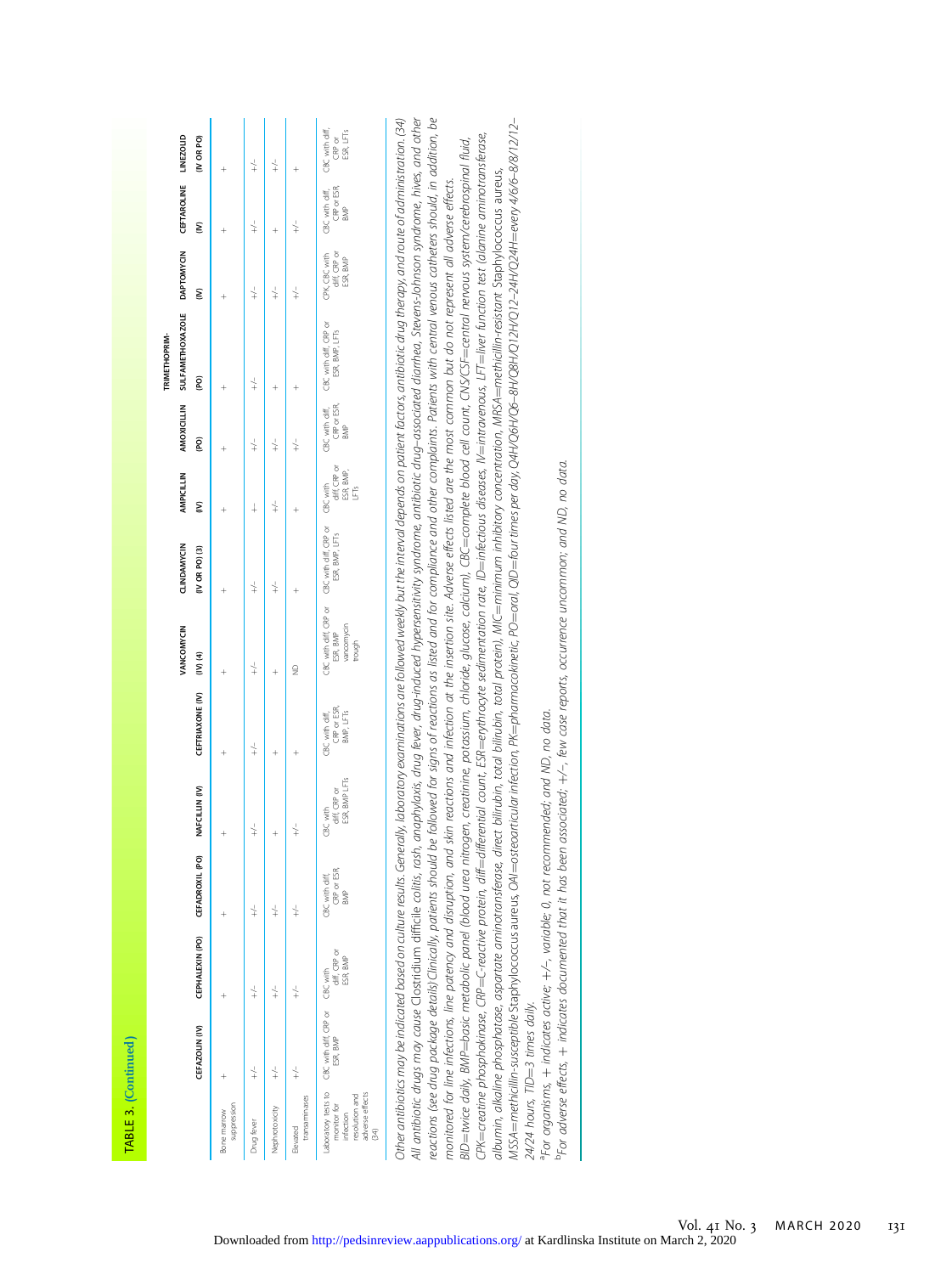| ٠ |        |  |
|---|--------|--|
|   |        |  |
|   |        |  |
|   |        |  |
|   |        |  |
|   |        |  |
|   |        |  |
|   |        |  |
|   |        |  |
|   |        |  |
|   |        |  |
|   |        |  |
|   |        |  |
|   |        |  |
|   |        |  |
|   |        |  |
|   | ۴<br>o |  |
|   |        |  |
|   |        |  |
|   |        |  |
|   |        |  |
|   |        |  |
|   |        |  |
|   |        |  |

|                                                                      |                                                               |                                 |                                      |                                           |                                            |                                  |                                                                        |                                 |                    | TRIMETHOPRIM-                                                            |                                                                         |                    |                                   |
|----------------------------------------------------------------------|---------------------------------------------------------------|---------------------------------|--------------------------------------|-------------------------------------------|--------------------------------------------|----------------------------------|------------------------------------------------------------------------|---------------------------------|--------------------|--------------------------------------------------------------------------|-------------------------------------------------------------------------|--------------------|-----------------------------------|
|                                                                      |                                                               |                                 |                                      |                                           |                                            | VANCOMYCIN                       | CLINDAMYCIN                                                            |                                 |                    | AMPICILLIN AMOXICILLIN SULFAMETHOXAZOLE DAPTOMYCIN CEFTAROLINE LINEZOLID |                                                                         |                    |                                   |
|                                                                      | CEFAZOLIN (IV)                                                | CEPHALEXIN (PO) CEFADROXIL (PO) |                                      | NAFCILLIN (IV)                            | <b>CEFTRIAXONE (IV)</b>                    | $(N)$ $(4)$                      | $(IV)$ OR PO $(3)$                                                     | ξ                               | (PO)               | (PO)                                                                     | ξ                                                                       | ξ                  | (IV OR PO)                        |
| suppression<br>Bone marrow                                           |                                                               |                                 |                                      |                                           |                                            |                                  |                                                                        |                                 |                    |                                                                          |                                                                         |                    |                                   |
| Drug fever                                                           | $\downarrow$                                                  |                                 | $\downarrow$                         | $+\frac{1}{x}$                            | $+\frac{1}{x}$                             | $\downarrow$                     | $+\frac{1}{x}$                                                         | $\ddagger$                      | $\downarrow$       | $+\frac{1}{x}$                                                           | $\downarrow$                                                            | $+\frac{1}{x}$     | $\downarrow$                      |
| Nephrotoxicity                                                       |                                                               | $\downarrow$                    | $\downarrow$                         |                                           |                                            |                                  | $+\frac{1}{x}$                                                         | $\downarrow$                    | $\downarrow$       |                                                                          | $\downarrow$                                                            |                    | $\downarrow$                      |
| transaminases<br>Elevated                                            |                                                               |                                 | $\frac{1}{\pm}$                      |                                           |                                            | $\supseteq$                      |                                                                        |                                 |                    |                                                                          |                                                                         | $+\frac{1}{x}$     |                                   |
| adverse effects<br>resolution and<br>monitor for<br>infection<br>34) | aboratory tests to GBC with diff, CRP or GBC with<br>ESR, BMP | diff, CRP or<br>ESR, BMP        | CRP or ESR,<br>CBC with diff,<br>BMP | ESR, BMP LFTs<br>diff, CRP or<br>CBC with | CRP or ESR,<br>BMP, LFTs<br>CBC with diff, | vancomycin<br>ESR, BMP<br>trough | CBC with diff, CRP or CBC with diff, CRP or CBC with<br>ESR, BMP, LFTs | diff, CRP or<br>ESR, BMP,<br>Éš | CRP or ESR,<br>BMP | CBC with diff, CBC with diff, CRP or<br>ESR, BMP, LFTs                   | CPK, CBC with CBC with diff, CBC with diff,<br>diff, CRP or<br>ESR, BMP | CRP or ESR,<br>BMP | ESR, LFT <sub>S</sub><br>$CRP$ or |

Other antibiotics may be indicated based on culture results. Generally, laboratoy examinations are followed weekly but the interval depends on parient factors, antibiotic drug therapy, and route of administration. [34] reactions (see drug package details)Clinically, patients should be followed for signs of reactions as listed and for compliance and other complaints. Patients with central venous catheters should, in addition, be Other antibiotics may be indicated based on culture results. Generally, laboratory examinations are followed weekly but the interval depends on patient factors, antibiotic drug therapy, and route of administration. (34) All antibiotic drugs may cause Clostridium difficile colitis, rash, andylaxis, drug fever, drug-induced hypersensitivity syndrome, antibiotic drug-associated diarrhea, Stevens-Johnson syndrome, hives, and other All antibiotic drugs may cause Clostridium difficile colitis, rash, anaphylaxis, drug fever, drug-induced hypersensitivity syndrome, antibiotic drug–associated diarrhea, Stevens-Johnson syndrome, hives, and other reactions (see drug package details).Clinically, patients should be followed for signs of reactions as listed and for compliance and other complaints. Patients with central venous catheters should, in addition, be ¼every 4/6/6–8/8/12/12– CPK=creatine phosphokinase, CRP=C-reactive protein, diff=differential count, ESR=erythrocyte sedimentation rate, ID=infectious diseases, IV=intravenous, LFT=liver function test (alanine aminotransferase,  $=$ infectious diseases, IV $=$ intravenous, LFT $=$ liver function test (alanine aminotransferase, BID=twice daily, BMP=basic metabolic panel (blood urea nitrogen, creatinine, potassium, chloride, glucose, calcium), CBC=complete blood cell count, CNS/CSF=central nervous system/cerebrospinal fluid, ¼central nervous system/cerebrospinal fluid, albumin, alkaline phosphatase, aspartate aminotransferase, direct blirubin, total bilirubin, total bilirubin, total protein), MIC=minimum inhibitory concentration, MRSA=methicillin-resistant Staphylococcus aureus. ¼methicillin-resistant Staphylococcus aureus, monitored for line infections, line patency and disruption, and skin reactions and infection at the insertion site. Adverse effects listed are the most common but do not represent all adverse effects. monitored for line infections, line patency and disruption, and skin reactions and infection at the insertion site. Adverse effects listed are the most common but do not represent all adverse effects. ¼four times per day, Q4H/Q6H/Q6–8H/Q8H/Q12H/Q12–24H/Q24H ¼complete blood cell count, CNS/CSF ¼minimum inhibitory concentration, MRSA ¼basic metabolic panel (blood urea nitrogen, creatinine, potassium, chloride, glucose, calcium), CBC  $=$ erythrocyte sedimentation rate, ID  $\,$ ¼oral, QID albumin, alkaline phosphatase, aspartate aminotransferase, direct bilirubin, total bilirubin, total protein), MIC  $=$ osteoarticular infection, PK $=$ pharmacokinetic, PO  $\equiv$ C-reactive protein, diff $=$ differential count, ESR ¼methicillin-susceptible Staphylococcus aureus, OAI CPK=creatine phosphokinase, CRP 24/24 hours, TID=3 times daily.  $=$ 3 times daily. ¼twice daily, BMP 24/24 hours, TID MSSA

aFor organisms, Por organisms, + indicates active; +/-, variable; 0, not recommended; and ND, no data. indicates active; þ/–, variable; 0, not recommended; and ND, no data.

bFor adverse effects, Pro adverse effects,  $+$  indicates documented that it has been associated;  $+\!\!\!\!/\!$  few case reports, occurrence uncommon; and ND, no data.  $+$  indicates documented that it has been associated; þ/–, few case reports, occurrence uncommon; and ND, no data.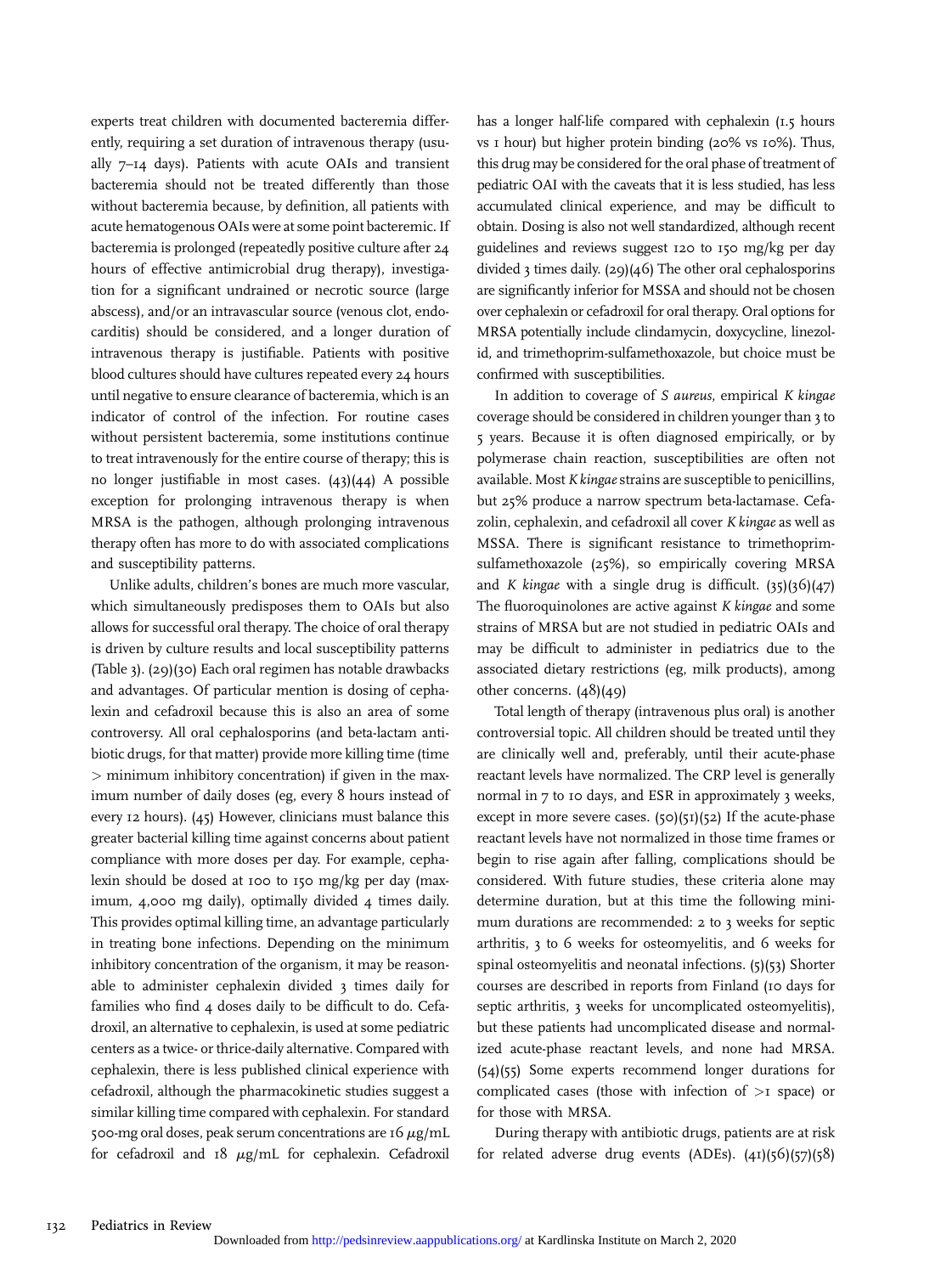experts treat children with documented bacteremia differently, requiring a set duration of intravenous therapy (usually 7–14 days). Patients with acute OAIs and transient bacteremia should not be treated differently than those without bacteremia because, by definition, all patients with acute hematogenous OAIs were at some point bacteremic. If bacteremia is prolonged (repeatedly positive culture after 24 hours of effective antimicrobial drug therapy), investigation for a significant undrained or necrotic source (large abscess), and/or an intravascular source (venous clot, endocarditis) should be considered, and a longer duration of intravenous therapy is justifiable. Patients with positive blood cultures should have cultures repeated every 24 hours until negative to ensure clearance of bacteremia, which is an indicator of control of the infection. For routine cases without persistent bacteremia, some institutions continue to treat intravenously for the entire course of therapy; this is no longer justifiable in most cases. (43)(44) A possible exception for prolonging intravenous therapy is when MRSA is the pathogen, although prolonging intravenous therapy often has more to do with associated complications and susceptibility patterns.

Unlike adults, children's bones are much more vascular, which simultaneously predisposes them to OAIs but also allows for successful oral therapy. The choice of oral therapy is driven by culture results and local susceptibility patterns (Table 3). (29)(30) Each oral regimen has notable drawbacks and advantages. Of particular mention is dosing of cephalexin and cefadroxil because this is also an area of some controversy. All oral cephalosporins (and beta-lactam antibiotic drugs, for that matter) provide more killing time (time > minimum inhibitory concentration) if given in the maximum number of daily doses (eg, every 8 hours instead of every 12 hours). (45) However, clinicians must balance this greater bacterial killing time against concerns about patient compliance with more doses per day. For example, cephalexin should be dosed at 100 to 150 mg/kg per day (maximum, 4,000 mg daily), optimally divided 4 times daily. This provides optimal killing time, an advantage particularly in treating bone infections. Depending on the minimum inhibitory concentration of the organism, it may be reasonable to administer cephalexin divided 3 times daily for families who find 4 doses daily to be difficult to do. Cefadroxil, an alternative to cephalexin, is used at some pediatric centers as a twice- or thrice-daily alternative. Compared with cephalexin, there is less published clinical experience with cefadroxil, although the pharmacokinetic studies suggest a similar killing time compared with cephalexin. For standard 500-mg oral doses, peak serum concentrations are  $16 \mu g/mL$ for cefadroxil and  $18 \mu g/mL$  for cephalexin. Cefadroxil

has a longer half-life compared with cephalexin (1.5 hours vs 1 hour) but higher protein binding (20% vs 10%). Thus, this drug may be considered for the oral phase of treatment of pediatric OAI with the caveats that it is less studied, has less accumulated clinical experience, and may be difficult to obtain. Dosing is also not well standardized, although recent guidelines and reviews suggest 120 to 150 mg/kg per day divided 3 times daily. (29)(46) The other oral cephalosporins are significantly inferior for MSSA and should not be chosen over cephalexin or cefadroxil for oral therapy. Oral options for MRSA potentially include clindamycin, doxycycline, linezolid, and trimethoprim-sulfamethoxazole, but choice must be confirmed with susceptibilities.

In addition to coverage of S aureus, empirical K kingae coverage should be considered in children younger than 3 to 5 years. Because it is often diagnosed empirically, or by polymerase chain reaction, susceptibilities are often not available. Most K kingae strains are susceptible to penicillins, but 25% produce a narrow spectrum beta-lactamase. Cefazolin, cephalexin, and cefadroxil all cover K kingae as well as MSSA. There is significant resistance to trimethoprimsulfamethoxazole (25%), so empirically covering MRSA and K kingae with a single drug is difficult.  $(35)(36)(47)$ The fluoroquinolones are active against *K* kingae and some strains of MRSA but are not studied in pediatric OAIs and may be difficult to administer in pediatrics due to the associated dietary restrictions (eg, milk products), among other concerns. (48)(49)

Total length of therapy (intravenous plus oral) is another controversial topic. All children should be treated until they are clinically well and, preferably, until their acute-phase reactant levels have normalized. The CRP level is generally normal in 7 to 10 days, and ESR in approximately 3 weeks, except in more severe cases. (50)(51)(52) If the acute-phase reactant levels have not normalized in those time frames or begin to rise again after falling, complications should be considered. With future studies, these criteria alone may determine duration, but at this time the following minimum durations are recommended: 2 to 3 weeks for septic arthritis, 3 to 6 weeks for osteomyelitis, and 6 weeks for spinal osteomyelitis and neonatal infections. (5)(53) Shorter courses are described in reports from Finland (10 days for septic arthritis, 3 weeks for uncomplicated osteomyelitis), but these patients had uncomplicated disease and normalized acute-phase reactant levels, and none had MRSA. (54)(55) Some experts recommend longer durations for complicated cases (those with infection of  $>1$  space) or for those with MRSA.

During therapy with antibiotic drugs, patients are at risk for related adverse drug events (ADEs).  $(41)(56)(57)(58)$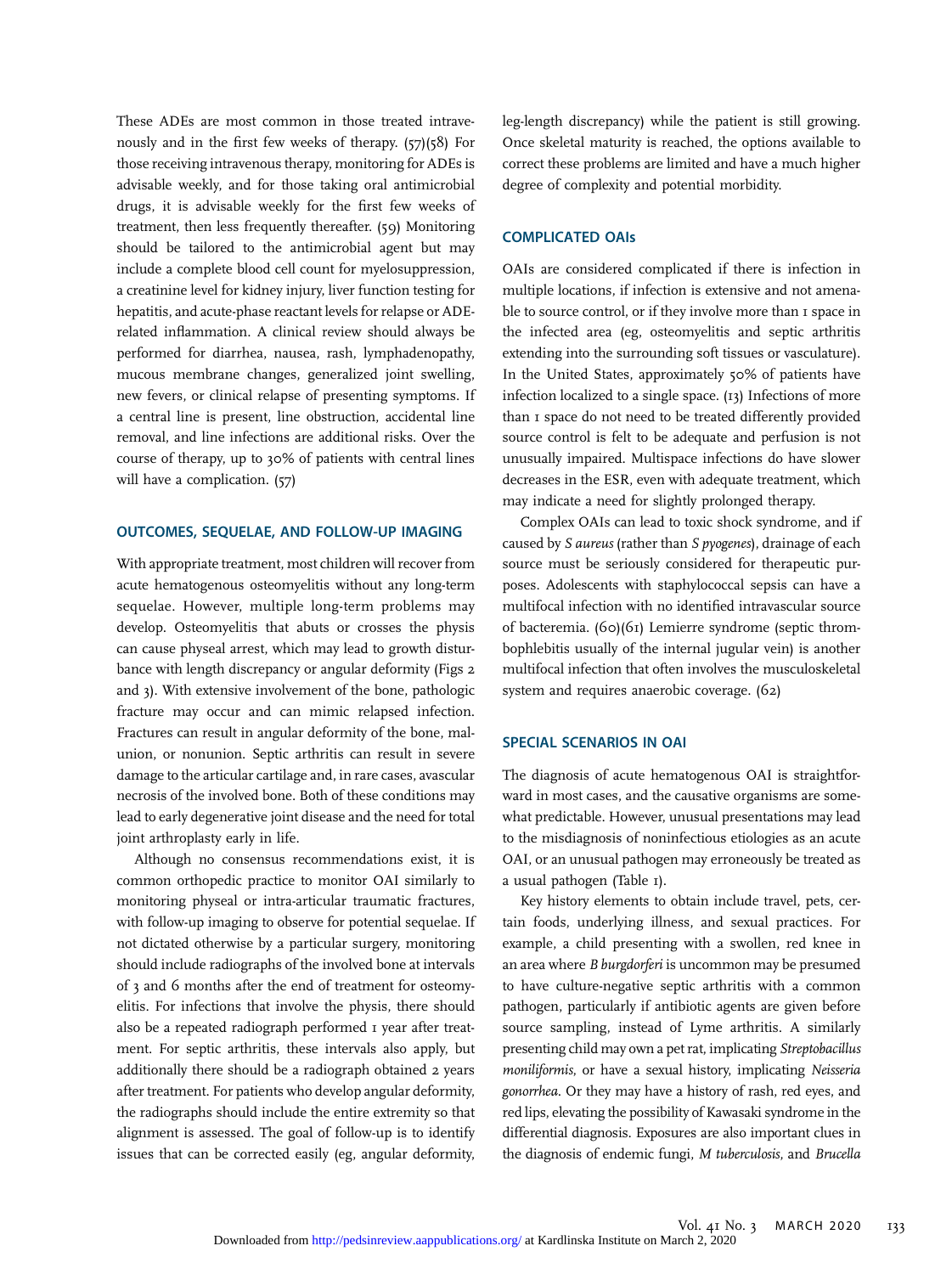These ADEs are most common in those treated intravenously and in the first few weeks of therapy. (57)(58) For those receiving intravenous therapy, monitoring for ADEs is advisable weekly, and for those taking oral antimicrobial drugs, it is advisable weekly for the first few weeks of treatment, then less frequently thereafter. (59) Monitoring should be tailored to the antimicrobial agent but may include a complete blood cell count for myelosuppression, a creatinine level for kidney injury, liver function testing for hepatitis, and acute-phase reactant levels for relapse or ADErelated inflammation. A clinical review should always be performed for diarrhea, nausea, rash, lymphadenopathy, mucous membrane changes, generalized joint swelling, new fevers, or clinical relapse of presenting symptoms. If a central line is present, line obstruction, accidental line removal, and line infections are additional risks. Over the course of therapy, up to 30% of patients with central lines will have a complication. (57)

## OUTCOMES, SEQUELAE, AND FOLLOW-UP IMAGING

With appropriate treatment, most children will recover from acute hematogenous osteomyelitis without any long-term sequelae. However, multiple long-term problems may develop. Osteomyelitis that abuts or crosses the physis can cause physeal arrest, which may lead to growth disturbance with length discrepancy or angular deformity (Figs 2 and 3). With extensive involvement of the bone, pathologic fracture may occur and can mimic relapsed infection. Fractures can result in angular deformity of the bone, malunion, or nonunion. Septic arthritis can result in severe damage to the articular cartilage and, in rare cases, avascular necrosis of the involved bone. Both of these conditions may lead to early degenerative joint disease and the need for total joint arthroplasty early in life.

Although no consensus recommendations exist, it is common orthopedic practice to monitor OAI similarly to monitoring physeal or intra-articular traumatic fractures, with follow-up imaging to observe for potential sequelae. If not dictated otherwise by a particular surgery, monitoring should include radiographs of the involved bone at intervals of 3 and 6 months after the end of treatment for osteomyelitis. For infections that involve the physis, there should also be a repeated radiograph performed I year after treatment. For septic arthritis, these intervals also apply, but additionally there should be a radiograph obtained 2 years after treatment. For patients who develop angular deformity, the radiographs should include the entire extremity so that alignment is assessed. The goal of follow-up is to identify issues that can be corrected easily (eg, angular deformity,

leg-length discrepancy) while the patient is still growing. Once skeletal maturity is reached, the options available to correct these problems are limited and have a much higher degree of complexity and potential morbidity.

#### COMPLICATED OAIs

OAIs are considered complicated if there is infection in multiple locations, if infection is extensive and not amenable to source control, or if they involve more than 1 space in the infected area (eg, osteomyelitis and septic arthritis extending into the surrounding soft tissues or vasculature). In the United States, approximately 50% of patients have infection localized to a single space. (13) Infections of more than 1 space do not need to be treated differently provided source control is felt to be adequate and perfusion is not unusually impaired. Multispace infections do have slower decreases in the ESR, even with adequate treatment, which may indicate a need for slightly prolonged therapy.

Complex OAIs can lead to toxic shock syndrome, and if caused by S aureus (rather than S pyogenes), drainage of each source must be seriously considered for therapeutic purposes. Adolescents with staphylococcal sepsis can have a multifocal infection with no identified intravascular source of bacteremia. (60)(61) Lemierre syndrome (septic thrombophlebitis usually of the internal jugular vein) is another multifocal infection that often involves the musculoskeletal system and requires anaerobic coverage. (62)

#### SPECIAL SCENARIOS IN OAI

The diagnosis of acute hematogenous OAI is straightforward in most cases, and the causative organisms are somewhat predictable. However, unusual presentations may lead to the misdiagnosis of noninfectious etiologies as an acute OAI, or an unusual pathogen may erroneously be treated as a usual pathogen (Table 1).

Key history elements to obtain include travel, pets, certain foods, underlying illness, and sexual practices. For example, a child presenting with a swollen, red knee in an area where B burgdorferi is uncommon may be presumed to have culture-negative septic arthritis with a common pathogen, particularly if antibiotic agents are given before source sampling, instead of Lyme arthritis. A similarly presenting child may own a pet rat, implicating Streptobacillus moniliformis, or have a sexual history, implicating Neisseria gonorrhea. Or they may have a history of rash, red eyes, and red lips, elevating the possibility of Kawasaki syndrome in the differential diagnosis. Exposures are also important clues in the diagnosis of endemic fungi, M tuberculosis, and Brucella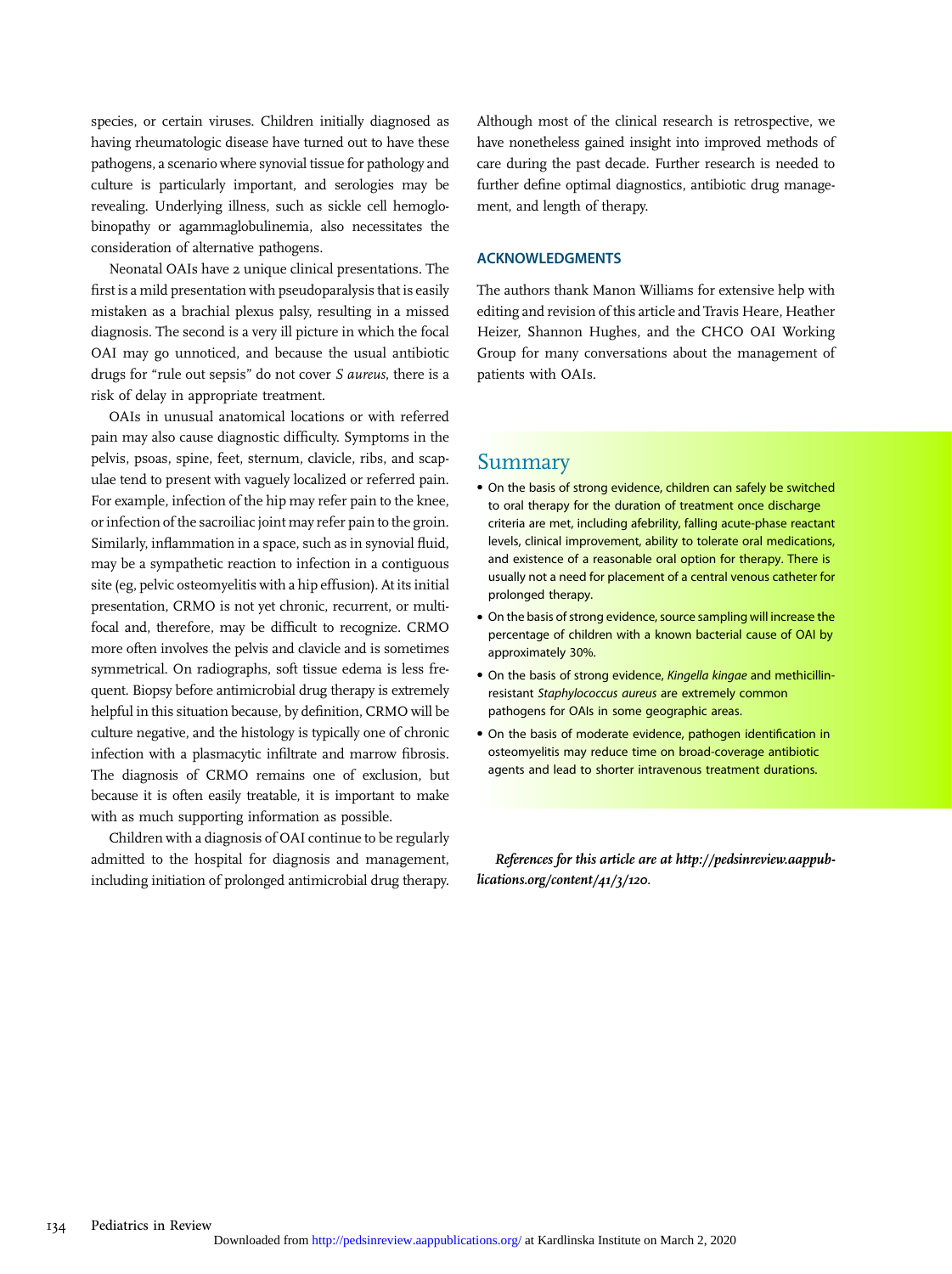species, or certain viruses. Children initially diagnosed as having rheumatologic disease have turned out to have these pathogens, a scenario where synovial tissue for pathology and culture is particularly important, and serologies may be revealing. Underlying illness, such as sickle cell hemoglobinopathy or agammaglobulinemia, also necessitates the consideration of alternative pathogens.

Neonatal OAIs have 2 unique clinical presentations. The first is a mild presentation with pseudoparalysis that is easily mistaken as a brachial plexus palsy, resulting in a missed diagnosis. The second is a very ill picture in which the focal OAI may go unnoticed, and because the usual antibiotic drugs for "rule out sepsis" do not cover S aureus, there is a risk of delay in appropriate treatment.

OAIs in unusual anatomical locations or with referred pain may also cause diagnostic difficulty. Symptoms in the pelvis, psoas, spine, feet, sternum, clavicle, ribs, and scapulae tend to present with vaguely localized or referred pain. For example, infection of the hip may refer pain to the knee, or infection of the sacroiliac joint may refer pain to the groin. Similarly, inflammation in a space, such as in synovial fluid, may be a sympathetic reaction to infection in a contiguous site (eg, pelvic osteomyelitis with a hip effusion). At its initial presentation, CRMO is not yet chronic, recurrent, or multifocal and, therefore, may be difficult to recognize. CRMO more often involves the pelvis and clavicle and is sometimes symmetrical. On radiographs, soft tissue edema is less frequent. Biopsy before antimicrobial drug therapy is extremely helpful in this situation because, by definition, CRMO will be culture negative, and the histology is typically one of chronic infection with a plasmacytic infiltrate and marrow fibrosis. The diagnosis of CRMO remains one of exclusion, but because it is often easily treatable, it is important to make with as much supporting information as possible.

Children with a diagnosis of OAI continue to be regularly admitted to the hospital for diagnosis and management, including initiation of prolonged antimicrobial drug therapy.

Although most of the clinical research is retrospective, we have nonetheless gained insight into improved methods of care during the past decade. Further research is needed to further define optimal diagnostics, antibiotic drug management, and length of therapy.

#### ACKNOWLEDGMENTS

The authors thank Manon Williams for extensive help with editing and revision of this article and Travis Heare, Heather Heizer, Shannon Hughes, and the CHCO OAI Working Group for many conversations about the management of patients with OAIs.

# Summary

- On the basis of strong evidence, children can safely be switched to oral therapy for the duration of treatment once discharge criteria are met, including afebrility, falling acute-phase reactant levels, clinical improvement, ability to tolerate oral medications, and existence of a reasonable oral option for therapy. There is usually not a need for placement of a central venous catheter for prolonged therapy.
- On the basis of strong evidence, source sampling will increase the percentage of children with a known bacterial cause of OAI by approximately 30%.
- On the basis of strong evidence, Kingella kingae and methicillinresistant Staphylococcus aureus are extremely common pathogens for OAIs in some geographic areas.
- On the basis of moderate evidence, pathogen identification in osteomyelitis may reduce time on broad-coverage antibiotic agents and lead to shorter intravenous treatment durations.

References for this article are at [http://pedsinreview.aappub](http://pedsinreview.aappublications.org/content/41/3/120)[lications.org/content/41/3/120](http://pedsinreview.aappublications.org/content/41/3/120).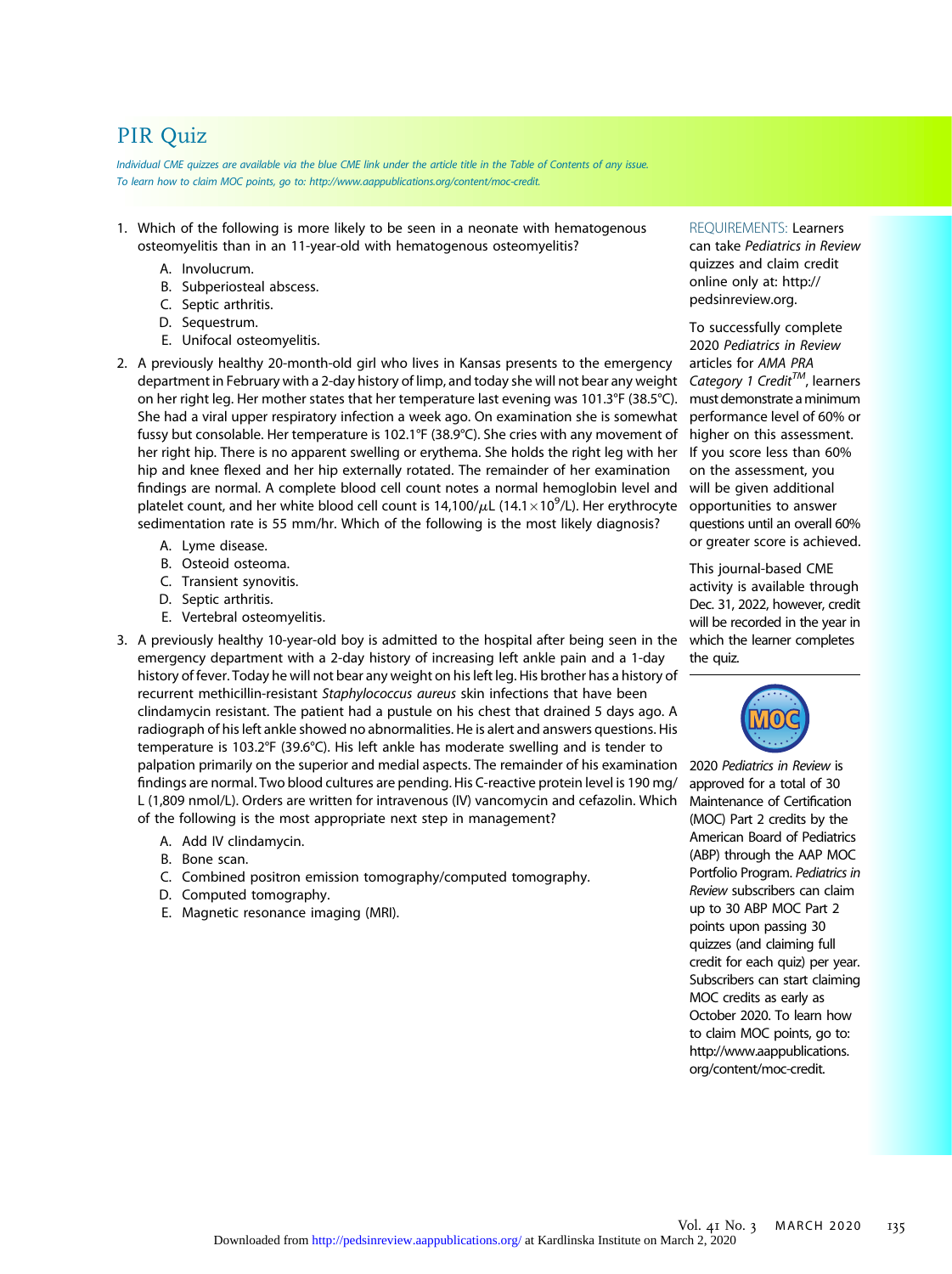# PIR Quiz

Individual CME quizzes are available via the blue CME link under the article title in the Table of Contents of any issue. To learn how to claim MOC points, go to: [http://www.aappublications.org/content/moc-credit.](http://www.aappublications.org/content/moc-credit)

- 1. Which of the following is more likely to be seen in a neonate with hematogenous osteomyelitis than in an 11-year-old with hematogenous osteomyelitis?
	- A. Involucrum.
	- B. Subperiosteal abscess.
	- C. Septic arthritis.
	- D. Sequestrum.
	- E. Unifocal osteomyelitis.
- 2. A previously healthy 20-month-old girl who lives in Kansas presents to the emergency department in February with a 2-day history of limp, and today she will not bear any weight on her right leg. Her mother states that her temperature last evening was 101.3°F (38.5°C). She had a viral upper respiratory infection a week ago. On examination she is somewhat fussy but consolable. Her temperature is 102.1°F (38.9°C). She cries with any movement of her right hip. There is no apparent swelling or erythema. She holds the right leg with her hip and knee flexed and her hip externally rotated. The remainder of her examination findings are normal. A complete blood cell count notes a normal hemoglobin level and platelet count, and her white blood cell count is  $14,100/\mu$ L ( $14.1\times10^9$ /L). Her erythrocyte sedimentation rate is 55 mm/hr. Which of the following is the most likely diagnosis?
	- A. Lyme disease.
	- B. Osteoid osteoma.
	- C. Transient synovitis.
	- D. Septic arthritis.
	- E. Vertebral osteomyelitis.
- 3. A previously healthy 10-year-old boy is admitted to the hospital after being seen in the emergency department with a 2-day history of increasing left ankle pain and a 1-day history of fever. Today he will not bear any weight on his left leg. His brother has a history of recurrent methicillin-resistant Staphylococcus aureus skin infections that have been clindamycin resistant. The patient had a pustule on his chest that drained 5 days ago. A radiograph of his left ankle showed no abnormalities. He is alert and answers questions. His temperature is 103.2°F (39.6°C). His left ankle has moderate swelling and is tender to palpation primarily on the superior and medial aspects. The remainder of his examination findings are normal. Two blood cultures are pending. His C-reactive protein level is 190 mg/ L (1,809 nmol/L). Orders are written for intravenous (IV) vancomycin and cefazolin. Which of the following is the most appropriate next step in management?
	- A. Add IV clindamycin.
	- B. Bone scan.
	- C. Combined positron emission tomography/computed tomography.
	- D. Computed tomography.
	- E. Magnetic resonance imaging (MRI).

REQUIREMENTS: Learners can take Pediatrics in Review quizzes and claim credit online only at: [http://](http://pedsinreview.org) [pedsinreview.org](http://pedsinreview.org).

To successfully complete 2020 Pediatrics in Review articles for AMA PRA Category 1 Credit<sup>TM</sup>, learners must demonstrate aminimum performance level of 60% or higher on this assessment. If you score less than 60% on the assessment, you will be given additional opportunities to answer questions until an overall 60% or greater score is achieved.

This journal-based CME activity is available through Dec. 31, 2022, however, credit will be recorded in the year in which the learner completes the quiz.



2020 Pediatrics in Review is approved for a total of 30 Maintenance of Certification (MOC) Part 2 credits by the American Board of Pediatrics (ABP) through the AAP MOC Portfolio Program. Pediatrics in Review subscribers can claim up to 30 ABP MOC Part 2 points upon passing 30 quizzes (and claiming full credit for each quiz) per year. Subscribers can start claiming MOC credits as early as October 2020. To learn how to claim MOC points, go to: [http://www.aappublications.](http://www.aappublications.org/content/moc-credit) [org/content/moc-credit](http://www.aappublications.org/content/moc-credit).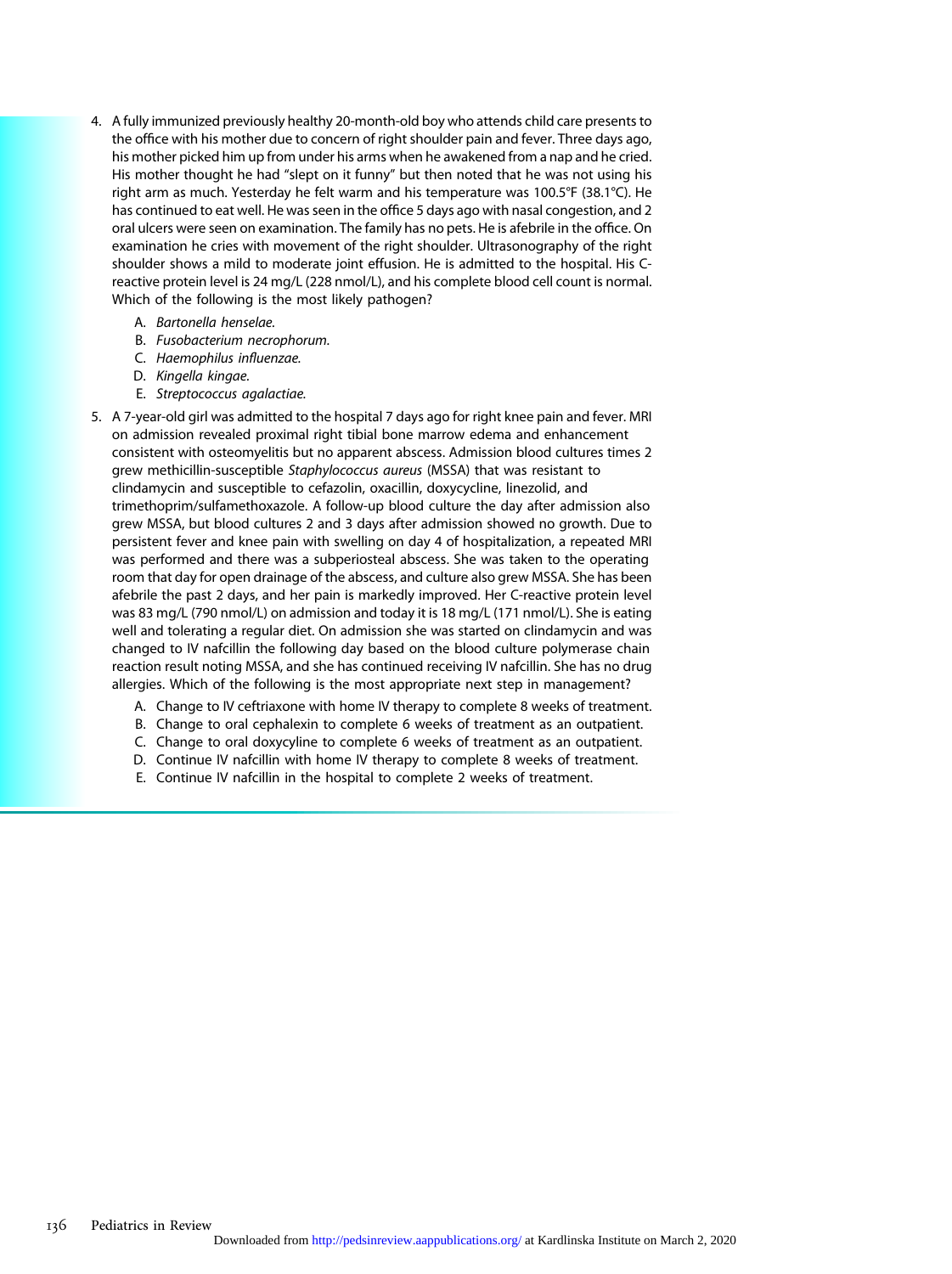- 4. A fully immunized previously healthy 20-month-old boy who attends child care presents to the office with his mother due to concern of right shoulder pain and fever. Three days ago, his mother picked him up from under his arms when he awakened from a nap and he cried. His mother thought he had "slept on it funny" but then noted that he was not using his right arm as much. Yesterday he felt warm and his temperature was 100.5°F (38.1°C). He has continued to eat well. He was seen in the office 5 days ago with nasal congestion, and 2 oral ulcers were seen on examination. The family has no pets. He is afebrile in the office. On examination he cries with movement of the right shoulder. Ultrasonography of the right shoulder shows a mild to moderate joint effusion. He is admitted to the hospital. His Creactive protein level is 24 mg/L (228 nmol/L), and his complete blood cell count is normal. Which of the following is the most likely pathogen?
	- A. Bartonella henselae.
	- B. Fusobacterium necrophorum.
	- C. Haemophilus influenzae.
	- D. Kingella kingae.
	- E. Streptococcus agalactiae.
- 5. A 7-year-old girl was admitted to the hospital 7 days ago for right knee pain and fever. MRI on admission revealed proximal right tibial bone marrow edema and enhancement consistent with osteomyelitis but no apparent abscess. Admission blood cultures times 2 grew methicillin-susceptible Staphylococcus aureus (MSSA) that was resistant to clindamycin and susceptible to cefazolin, oxacillin, doxycycline, linezolid, and trimethoprim/sulfamethoxazole. A follow-up blood culture the day after admission also grew MSSA, but blood cultures 2 and 3 days after admission showed no growth. Due to persistent fever and knee pain with swelling on day 4 of hospitalization, a repeated MRI was performed and there was a subperiosteal abscess. She was taken to the operating room that day for open drainage of the abscess, and culture also grew MSSA. She has been afebrile the past 2 days, and her pain is markedly improved. Her C-reactive protein level was 83 mg/L (790 nmol/L) on admission and today it is 18 mg/L (171 nmol/L). She is eating well and tolerating a regular diet. On admission she was started on clindamycin and was changed to IV nafcillin the following day based on the blood culture polymerase chain reaction result noting MSSA, and she has continued receiving IV nafcillin. She has no drug allergies. Which of the following is the most appropriate next step in management?
	- A. Change to IV ceftriaxone with home IV therapy to complete 8 weeks of treatment.
	- B. Change to oral cephalexin to complete 6 weeks of treatment as an outpatient.
	- C. Change to oral doxycyline to complete 6 weeks of treatment as an outpatient.
	- D. Continue IV nafcillin with home IV therapy to complete 8 weeks of treatment.
	- E. Continue IV nafcillin in the hospital to complete 2 weeks of treatment.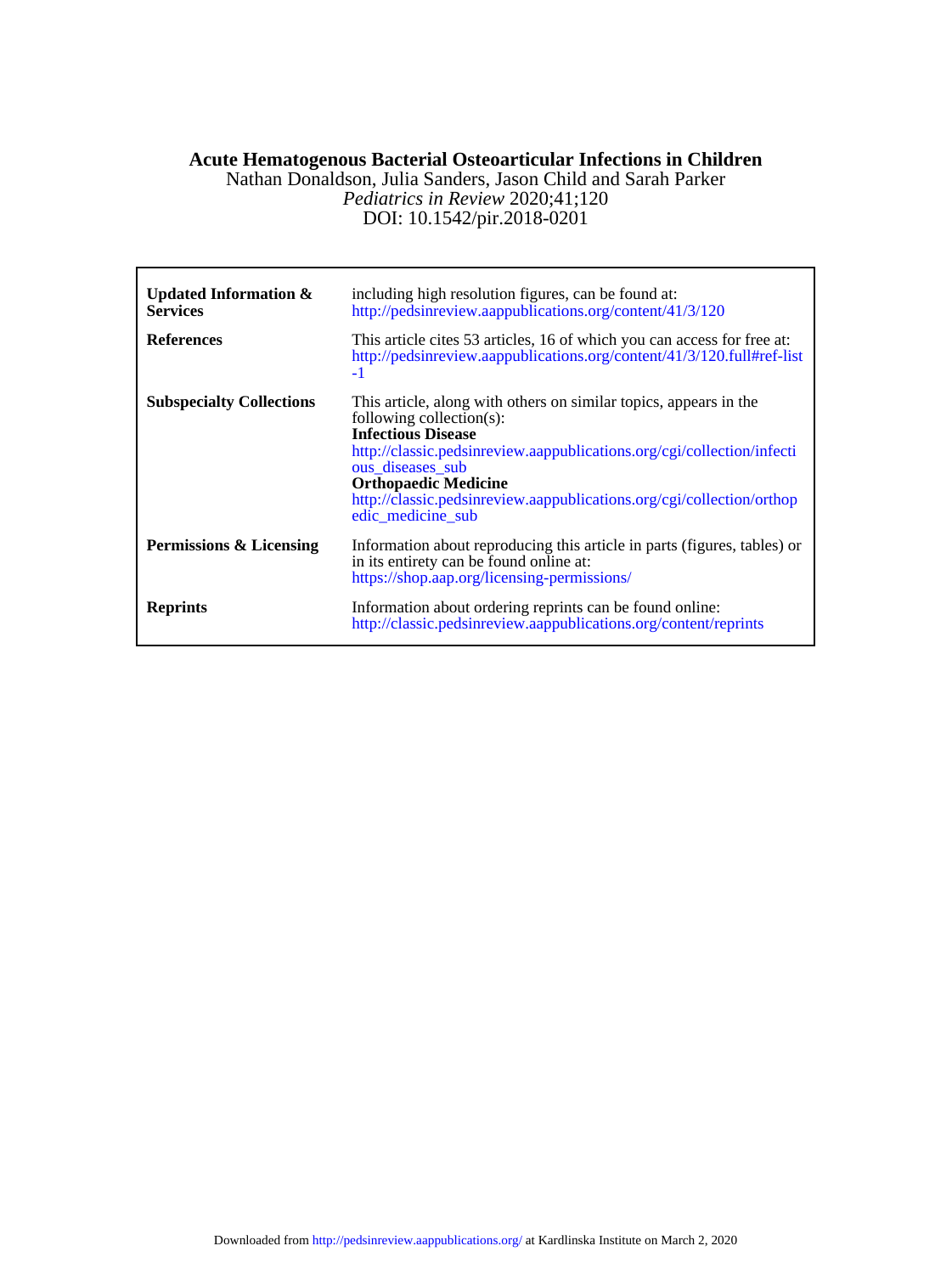# **Acute Hematogenous Bacterial Osteoarticular Infections in Children**

DOI: 10.1542/pir.2018-0201 *Pediatrics in Review* 2020;41;120 Nathan Donaldson, Julia Sanders, Jason Child and Sarah Parker

| <b>Updated Information &amp;</b><br><b>Services</b> | including high resolution figures, can be found at:<br>http://pedsinreview.aappublications.org/content/41/3/120                                                                                                                                                                                                                                       |
|-----------------------------------------------------|-------------------------------------------------------------------------------------------------------------------------------------------------------------------------------------------------------------------------------------------------------------------------------------------------------------------------------------------------------|
| <b>References</b>                                   | This article cites 53 articles, 16 of which you can access for free at:<br>http://pedsinreview.aappublications.org/content/41/3/120.full#ref-list<br>$-1$                                                                                                                                                                                             |
| <b>Subspecialty Collections</b>                     | This article, along with others on similar topics, appears in the<br>following collection(s):<br><b>Infectious Disease</b><br>http://classic.pedsinreview.aappublications.org/cgi/collection/infecti<br>ous diseases sub<br><b>Orthopaedic Medicine</b><br>http://classic.pedsinreview.aappublications.org/cgi/collection/orthop<br>edic medicine sub |
| Permissions & Licensing                             | Information about reproducing this article in parts (figures, tables) or<br>in its entirety can be found online at:<br>https://shop.aap.org/licensing-permissions/                                                                                                                                                                                    |
| <b>Reprints</b>                                     | Information about ordering reprints can be found online:<br>http://classic.pedsinreview.aappublications.org/content/reprints                                                                                                                                                                                                                          |